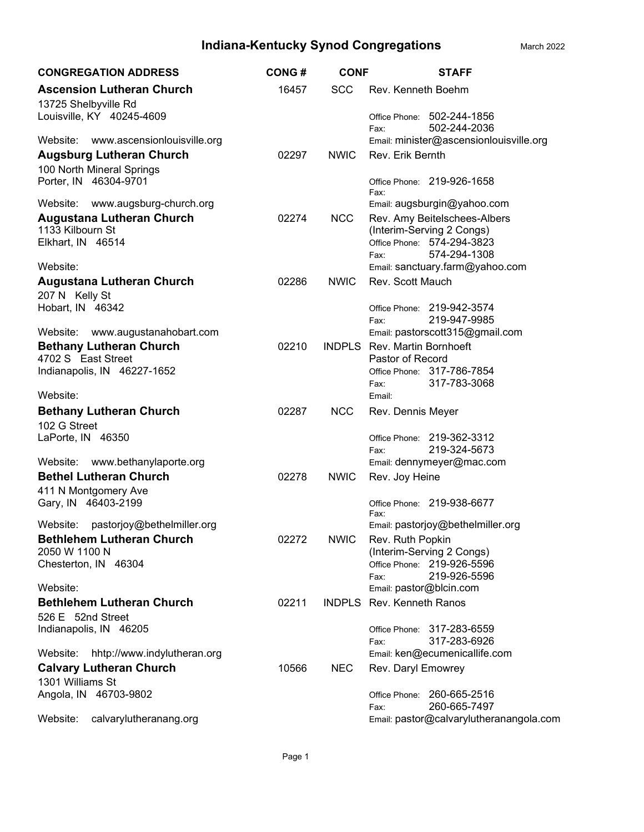| <b>CONGREGATION ADDRESS</b>                                  | <b>CONG#</b> | <b>CONF</b> | <b>STAFF</b>                                              |
|--------------------------------------------------------------|--------------|-------------|-----------------------------------------------------------|
| <b>Ascension Lutheran Church</b><br>13725 Shelbyville Rd     | 16457        | <b>SCC</b>  | Rev. Kenneth Boehm                                        |
| Louisville, KY 40245-4609                                    |              |             | Office Phone: 502-244-1856<br>502-244-2036<br>Fax:        |
| Website: www.ascensionlouisville.org                         |              |             | Email: minister@ascensionlouisville.org                   |
| <b>Augsburg Lutheran Church</b><br>100 North Mineral Springs | 02297        | <b>NWIC</b> | Rev. Erik Bernth                                          |
| Porter, IN 46304-9701                                        |              |             | Office Phone: 219-926-1658<br>Fax:                        |
| Website: www.augsburg-church.org                             |              |             | Email: augsburgin@yahoo.com                               |
| <b>Augustana Lutheran Church</b><br>1133 Kilbourn St         | 02274        | <b>NCC</b>  | Rev. Amy Beitelschees-Albers<br>(Interim-Serving 2 Congs) |
| Elkhart, IN 46514                                            |              |             | Office Phone: 574-294-3823                                |
|                                                              |              |             | 574-294-1308<br>Fax:                                      |
| Website:                                                     |              |             | Email: sanctuary.farm@yahoo.com                           |
| <b>Augustana Lutheran Church</b><br>207 N Kelly St           | 02286        | <b>NWIC</b> | Rev. Scott Mauch                                          |
| Hobart, IN 46342                                             |              |             | Office Phone: 219-942-3574                                |
|                                                              |              |             | 219-947-9985<br>Fax:                                      |
| Website:<br>www.augustanahobart.com                          |              |             | Email: pastorscott315@gmail.com                           |
| <b>Bethany Lutheran Church</b><br>4702 S East Street         | 02210        |             | INDPLS Rev. Martin Bornhoeft<br>Pastor of Record          |
| Indianapolis, IN 46227-1652                                  |              |             | Office Phone: 317-786-7854                                |
| Website:                                                     |              |             | 317-783-3068<br>Fax:<br>Email:                            |
| <b>Bethany Lutheran Church</b>                               | 02287        | <b>NCC</b>  | Rev. Dennis Meyer                                         |
| 102 G Street                                                 |              |             |                                                           |
| LaPorte, IN 46350                                            |              |             | Office Phone: 219-362-3312                                |
| Website: www.bethanylaporte.org                              |              |             | 219-324-5673<br>Fax:<br>Email: dennymeyer@mac.com         |
| <b>Bethel Lutheran Church</b>                                | 02278        | <b>NWIC</b> |                                                           |
| 411 N Montgomery Ave                                         |              |             | Rev. Joy Heine                                            |
| Gary, IN 46403-2199                                          |              |             | Office Phone: 219-938-6677<br>Fax:                        |
| pastorjoy@bethelmiller.org<br>Website:                       |              |             | Email: pastorjoy@bethelmiller.org                         |
| <b>Bethlehem Lutheran Church</b>                             | 02272        | <b>NWIC</b> | Rev. Ruth Popkin                                          |
| 2050 W 1100 N                                                |              |             | (Interim-Serving 2 Congs)                                 |
| Chesterton, IN 46304                                         |              |             | Office Phone: 219-926-5596                                |
|                                                              |              |             | 219-926-5596<br>Fax:                                      |
| Website:                                                     |              |             | Email: pastor@blcin.com                                   |
| <b>Bethlehem Lutheran Church</b>                             | 02211        |             | <b>INDPLS</b> Rev. Kenneth Ranos                          |
| 526 E 52nd Street<br>Indianapolis, IN 46205                  |              |             | Office Phone: 317-283-6559                                |
|                                                              |              |             | 317-283-6926<br>Fax:                                      |
| Website:<br>hhtp://www.indylutheran.org                      |              |             | Email: ken@ecumenicallife.com                             |
| <b>Calvary Lutheran Church</b>                               | 10566        | <b>NEC</b>  | Rev. Daryl Emowrey                                        |
| 1301 Williams St                                             |              |             |                                                           |
| Angola, IN 46703-9802                                        |              |             | Office Phone: 260-665-2516<br>260-665-7497<br>Fax:        |
| Website:<br>calvarylutheranang.org                           |              |             | Email: pastor@calvarylutheranangola.com                   |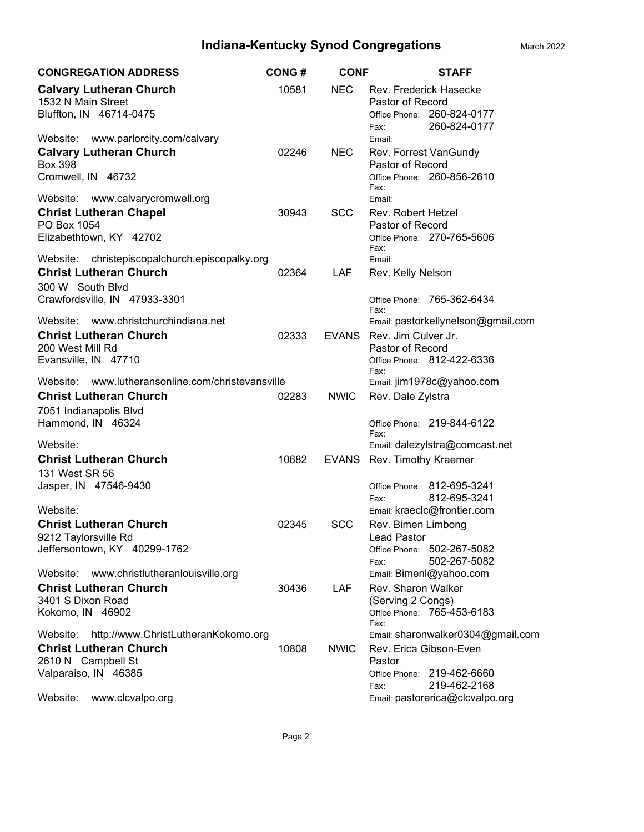| <b>CONGREGATION ADDRESS</b>                                                                                                                                    | <b>CONG#</b> | <b>CONF</b>  | <b>STAFF</b>                                                                                                                                                   |
|----------------------------------------------------------------------------------------------------------------------------------------------------------------|--------------|--------------|----------------------------------------------------------------------------------------------------------------------------------------------------------------|
| <b>Calvary Lutheran Church</b><br>1532 N Main Street<br>Bluffton, IN 46714-0475                                                                                | 10581        | <b>NEC</b>   | Rev. Frederick Hasecke<br>Pastor of Record<br>Office Phone: 260-824-0177<br>260-824-0177<br>Fax:                                                               |
| www.parlorcity.com/calvary<br>Website:<br><b>Calvary Lutheran Church</b><br><b>Box 398</b><br>Cromwell, IN 46732                                               | 02246        | <b>NEC</b>   | Email:<br>Rev. Forrest VanGundy<br>Pastor of Record<br>Office Phone: 260-856-2610<br>Fax:                                                                      |
| www.calvarycromwell.org<br>Website:<br><b>Christ Lutheran Chapel</b><br>PO Box 1054<br>Elizabethtown, KY 42702                                                 | 30943        | <b>SCC</b>   | Email:<br><b>Rev. Robert Hetzel</b><br>Pastor of Record<br>Office Phone: 270-765-5606                                                                          |
| Website:<br>christepiscopalchurch.episcopalky.org<br><b>Christ Lutheran Church</b><br>300 W South Blvd<br>Crawfordsville, IN 47933-3301                        | 02364        | LAF          | Fax:<br>Email:<br>Rev. Kelly Nelson<br>Office Phone: 765-362-6434                                                                                              |
| Website: www.christchurchindiana.net<br><b>Christ Lutheran Church</b><br>200 West Mill Rd<br>Evansville, IN 47710                                              | 02333        | <b>EVANS</b> | Fax:<br>Email: pastorkellynelson@gmail.com<br>Rev. Jim Culver Jr.<br>Pastor of Record<br>Office Phone: 812-422-6336                                            |
| www.lutheransonline.com/christevansville<br>Website: \<br><b>Christ Lutheran Church</b><br>7051 Indianapolis Blvd<br>Hammond, IN 46324                         | 02283        | <b>NWIC</b>  | Fax:<br>Email: jim1978c@yahoo.com<br>Rev. Dale Zylstra<br>Office Phone: 219-844-6122                                                                           |
| Website:<br><b>Christ Lutheran Church</b><br>131 West SR 56                                                                                                    | 10682        |              | Fax:<br>Email: dalezylstra@comcast.net<br>EVANS Rev. Timothy Kraemer                                                                                           |
| Jasper, IN 47546-9430<br>Website:<br><b>Christ Lutheran Church</b>                                                                                             | 02345        | <b>SCC</b>   | Office Phone: 812-695-3241<br>812-695-3241<br>Fax:<br>Email: kraeclc@frontier.com<br>Rev. Bimen Limbong                                                        |
| 9212 Taylorsville Rd<br>Jeffersontown, KY 40299-1762                                                                                                           |              |              | Lead Pastor<br>Office Phone: 502-267-5082<br>502-267-5082<br>Fax:                                                                                              |
| www.christlutheranlouisville.org<br>Website:<br><b>Christ Lutheran Church</b><br>3401 S Dixon Road<br>Kokomo, IN 46902                                         | 30436        | LAF.         | Email: Bimenl@yahoo.com<br>Rev. Sharon Walker<br>(Serving 2 Congs)<br>Office Phone: 765-453-6183<br>Fax:                                                       |
| http://www.ChristLutheranKokomo.org<br>Website:<br><b>Christ Lutheran Church</b><br>2610 N Campbell St<br>Valparaiso, IN 46385<br>www.clcvalpo.org<br>Website: | 10808        | <b>NWIC</b>  | Email: sharonwalker0304@gmail.com<br>Rev. Erica Gibson-Even<br>Pastor<br>Office Phone: 219-462-6660<br>219-462-2168<br>Fax:<br>Email: pastorerica@clcvalpo.org |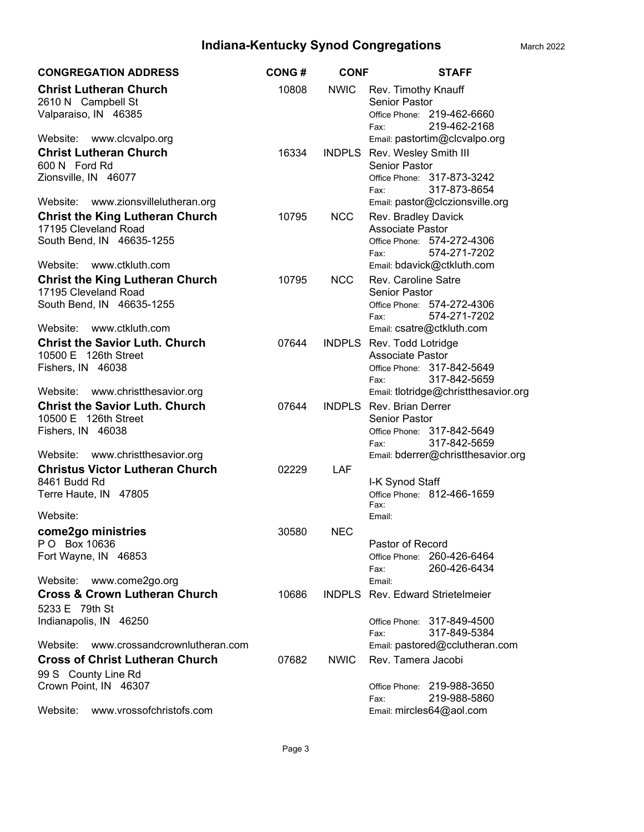| <b>CONGREGATION ADDRESS</b>                                                                 | <b>CONG#</b> | <b>CONF</b>   | <b>STAFF</b>                                                                                      |
|---------------------------------------------------------------------------------------------|--------------|---------------|---------------------------------------------------------------------------------------------------|
| <b>Christ Lutheran Church</b><br>2610 N Campbell St<br>Valparaiso, IN 46385                 | 10808        | <b>NWIC</b>   | Rev. Timothy Knauff<br><b>Senior Pastor</b><br>Office Phone: 219-462-6660<br>219-462-2168<br>Fax: |
| Website: www.clcvalpo.org                                                                   |              |               | Email: pastortim@clcvalpo.org                                                                     |
| <b>Christ Lutheran Church</b><br>600 N Ford Rd                                              | 16334        | <b>INDPLS</b> | Rev. Wesley Smith III<br><b>Senior Pastor</b>                                                     |
| Zionsville, IN 46077                                                                        |              |               | Office Phone: 317-873-3242<br>317-873-8654<br>Fax:                                                |
| Website:<br>www.zionsvillelutheran.org                                                      |              |               | Email: pastor@clczionsville.org                                                                   |
| <b>Christ the King Lutheran Church</b><br>17195 Cleveland Road                              | 10795        | <b>NCC</b>    | Rev. Bradley Davick<br>Associate Pastor                                                           |
| South Bend, IN 46635-1255                                                                   |              |               | Office Phone: 574-272-4306<br>574-271-7202<br>Fax:                                                |
| Website: www.ctkluth.com                                                                    |              |               | Email: bdavick@ctkluth.com                                                                        |
| <b>Christ the King Lutheran Church</b><br>17195 Cleveland Road<br>South Bend, IN 46635-1255 | 10795        | <b>NCC</b>    | Rev. Caroline Satre<br><b>Senior Pastor</b><br>Office Phone: 574-272-4306                         |
| Website: www.ctkluth.com                                                                    |              |               | 574-271-7202<br>Fax:<br>Email: csatre@ctkluth.com                                                 |
| <b>Christ the Savior Luth. Church</b>                                                       | 07644        | <b>INDPLS</b> | Rev. Todd Lotridge                                                                                |
| 10500 E 126th Street                                                                        |              |               | Associate Pastor                                                                                  |
| Fishers, IN 46038                                                                           |              |               | Office Phone: 317-842-5649<br>317-842-5659<br>Fax:                                                |
| Website: www.christthesavior.org<br><b>Christ the Savior Luth. Church</b>                   |              |               | Email: tlotridge@christthesavior.org<br><b>INDPLS</b> Rev. Brian Derrer                           |
| 10500 E 126th Street                                                                        | 07644        |               | <b>Senior Pastor</b>                                                                              |
| Fishers, IN 46038                                                                           |              |               | Office Phone: 317-842-5649                                                                        |
|                                                                                             |              |               | 317-842-5659<br>Fax:                                                                              |
| Website: www.christthesavior.org                                                            |              |               | Email: bderrer@christthesavior.org                                                                |
| <b>Christus Victor Lutheran Church</b>                                                      | 02229        | LAF           |                                                                                                   |
| 8461 Budd Rd<br>Terre Haute, IN 47805                                                       |              |               | I-K Synod Staff<br>Office Phone: 812-466-1659                                                     |
| Website:                                                                                    |              |               | Fax:<br>Email:                                                                                    |
| come2go ministries                                                                          | 30580        | <b>NEC</b>    |                                                                                                   |
| PO Box 10636                                                                                |              |               | Pastor of Record                                                                                  |
| Fort Wayne, IN 46853                                                                        |              |               | Office Phone: 260-426-6464<br>260-426-6434<br>Fax:                                                |
| Website: www.come2go.org<br><b>Cross &amp; Crown Lutheran Church</b>                        | 10686        |               | Email:<br>INDPLS Rev. Edward Strietelmeier                                                        |
| 5233 E 79th St                                                                              |              |               |                                                                                                   |
| Indianapolis, IN 46250                                                                      |              |               | Office Phone: 317-849-4500<br>317-849-5384<br>Fax:                                                |
| Website: www.crossandcrownlutheran.com                                                      |              |               | Email: pastored@cclutheran.com                                                                    |
| <b>Cross of Christ Lutheran Church</b>                                                      | 07682        | <b>NWIC</b>   | Rev. Tamera Jacobi                                                                                |
| 99 S County Line Rd                                                                         |              |               |                                                                                                   |
| Crown Point, IN 46307                                                                       |              |               | Office Phone: 219-988-3650                                                                        |
| Website:<br>www.vrossofchristofs.com                                                        |              |               | 219-988-5860<br>Fax:<br>Email: mircles64@aol.com                                                  |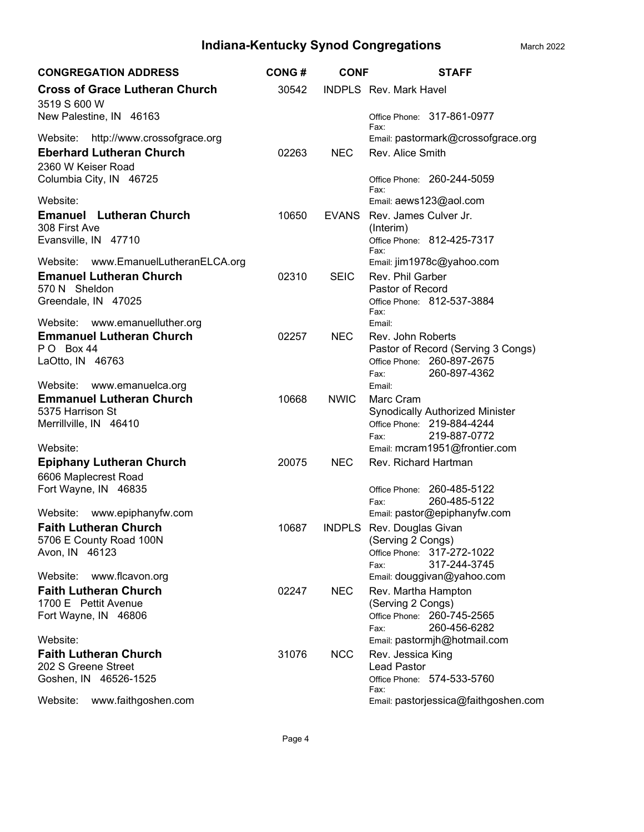| <b>CONGREGATION ADDRESS</b>                             | <b>CONG#</b> | <b>CONF</b>  | <b>STAFF</b>                                                         |
|---------------------------------------------------------|--------------|--------------|----------------------------------------------------------------------|
| <b>Cross of Grace Lutheran Church</b><br>3519 S 600 W   | 30542        |              | <b>INDPLS</b> Rev. Mark Havel                                        |
| New Palestine, IN 46163                                 |              |              | Office Phone: 317-861-0977<br>Fax:                                   |
| http://www.crossofgrace.org<br>Website:                 |              |              | Email: pastormark@crossofgrace.org                                   |
| <b>Eberhard Lutheran Church</b><br>2360 W Keiser Road   | 02263        | <b>NEC</b>   | Rev. Alice Smith                                                     |
| Columbia City, IN 46725                                 |              |              | Office Phone: 260-244-5059<br>Fax:                                   |
| Website:                                                |              |              | Email: aews123@aol.com                                               |
| <b>Emanuel</b> Lutheran Church<br>308 First Ave         | 10650        | <b>EVANS</b> | Rev. James Culver Jr.<br>(Interim)                                   |
| Evansville, IN 47710                                    |              |              | Office Phone: 812-425-7317<br>Fax:                                   |
| Website:<br>www.EmanuelLutheranELCA.org                 |              |              | Email: jim1978c@yahoo.com                                            |
| <b>Emanuel Lutheran Church</b><br>570 N Sheldon         | 02310        | <b>SEIC</b>  | Rev. Phil Garber<br>Pastor of Record                                 |
| Greendale, IN 47025                                     |              |              | Office Phone: 812-537-3884<br>Fax:                                   |
| Website: www.emanuelluther.org                          |              |              | Email:                                                               |
| <b>Emmanuel Lutheran Church</b><br>PO Box 44            | 02257        | <b>NEC</b>   | Rev. John Roberts<br>Pastor of Record (Serving 3 Congs)              |
| LaOtto, IN 46763                                        |              |              | Office Phone: 260-897-2675                                           |
| Website:<br>www.emanuelca.org                           |              |              | 260-897-4362<br>Fax:<br>Email:                                       |
| <b>Emmanuel Lutheran Church</b>                         | 10668        | <b>NWIC</b>  | Marc Cram                                                            |
| 5375 Harrison St<br>Merrillville, IN 46410              |              |              | <b>Synodically Authorized Minister</b><br>Office Phone: 219-884-4244 |
|                                                         |              |              | 219-887-0772<br>Fax:                                                 |
| Website:                                                |              |              | Email: mcram1951@frontier.com                                        |
| <b>Epiphany Lutheran Church</b><br>6606 Maplecrest Road | 20075        | <b>NEC</b>   | Rev. Richard Hartman                                                 |
| Fort Wayne, IN 46835                                    |              |              | Office Phone: 260-485-5122                                           |
| Website:<br>www.epiphanyfw.com                          |              |              | 260-485-5122<br>Fax:<br>Email: pastor@epiphanyfw.com                 |
| <b>Faith Lutheran Church</b>                            | 10687        |              | INDPLS Rev. Douglas Givan                                            |
| 5706 E County Road 100N                                 |              |              | (Serving 2 Congs)                                                    |
| Avon, IN 46123                                          |              |              | Office Phone: 317-272-1022<br>317-244-3745                           |
| Website:<br>www.flcavon.org                             |              |              | Fax:<br>Email: douggivan@yahoo.com                                   |
| <b>Faith Lutheran Church</b>                            | 02247        | <b>NEC</b>   | Rev. Martha Hampton                                                  |
| 1700 E Pettit Avenue<br>Fort Wayne, IN 46806            |              |              | (Serving 2 Congs)<br>Office Phone: 260-745-2565                      |
|                                                         |              |              | 260-456-6282<br>Fax:                                                 |
| Website:                                                |              |              | Email: pastormjh@hotmail.com                                         |
| <b>Faith Lutheran Church</b><br>202 S Greene Street     | 31076        | <b>NCC</b>   | Rev. Jessica King<br><b>Lead Pastor</b>                              |
| Goshen, IN 46526-1525                                   |              |              | Office Phone: 574-533-5760<br>Fax:                                   |
| www.faithgoshen.com<br>Website:                         |              |              | Email: pastorjessica@faithgoshen.com                                 |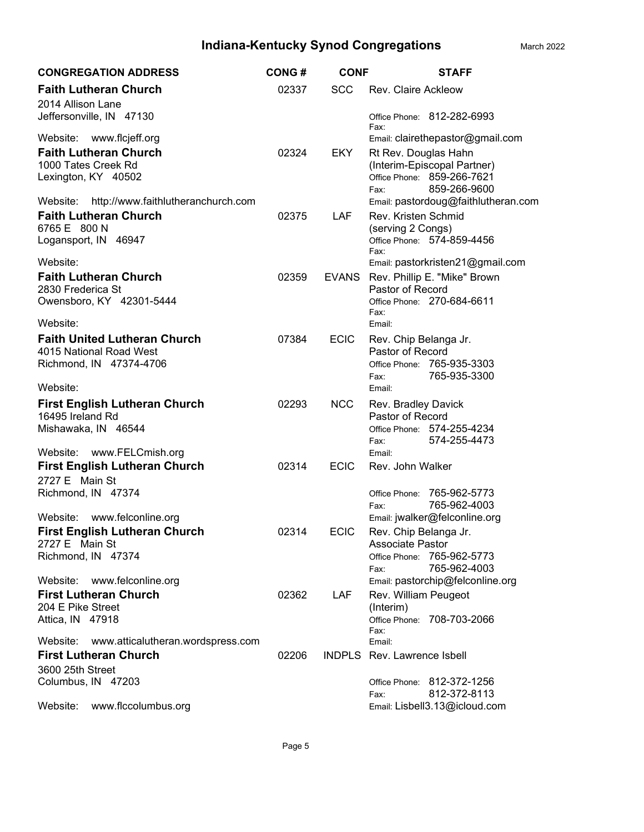| <b>CONGREGATION ADDRESS</b>                                                | <b>CONG#</b> | <b>CONF</b> | <b>STAFF</b>                                                           |
|----------------------------------------------------------------------------|--------------|-------------|------------------------------------------------------------------------|
| <b>Faith Lutheran Church</b><br>2014 Allison Lane                          | 02337        | <b>SCC</b>  | <b>Rev. Claire Ackleow</b>                                             |
| Jeffersonville, IN 47130                                                   |              |             | Office Phone: 812-282-6993<br>Fax:                                     |
| Website: www.flcjeff.org                                                   |              |             | Email: clairethepastor@gmail.com                                       |
| <b>Faith Lutheran Church</b><br>1000 Tates Creek Rd                        | 02324        | EKY.        | Rt Rev. Douglas Hahn<br>(Interim-Episcopal Partner)                    |
| Lexington, KY 40502                                                        |              |             | Office Phone: 859-266-7621                                             |
| Website: http://www.faithlutheranchurch.com                                |              |             | 859-266-9600<br>Fax:<br>Email: pastordoug@faithlutheran.com            |
| <b>Faith Lutheran Church</b>                                               | 02375        | <b>LAF</b>  | Rev. Kristen Schmid                                                    |
| 6765 E 800 N<br>Logansport, IN 46947                                       |              |             | (serving 2 Congs)<br>Office Phone: 574-859-4456                        |
|                                                                            |              |             | Fax:                                                                   |
| Website:<br><b>Faith Lutheran Church</b>                                   | 02359        |             | Email: pastorkristen21@gmail.com<br>EVANS Rev. Phillip E. "Mike" Brown |
| 2830 Frederica St                                                          |              |             | Pastor of Record                                                       |
| Owensboro, KY 42301-5444                                                   |              |             | Office Phone: 270-684-6611<br>Fax:                                     |
| Website:                                                                   |              |             | Email:                                                                 |
| <b>Faith United Lutheran Church</b><br>4015 National Road West             | 07384        | <b>ECIC</b> | Rev. Chip Belanga Jr.<br>Pastor of Record                              |
| Richmond, IN 47374-4706                                                    |              |             | Office Phone: 765-935-3303                                             |
| Website:                                                                   |              |             | 765-935-3300<br>Fax:<br>Email:                                         |
| <b>First English Lutheran Church</b>                                       | 02293        | <b>NCC</b>  | Rev. Bradley Davick                                                    |
| 16495 Ireland Rd<br>Mishawaka, IN 46544                                    |              |             | Pastor of Record<br>Office Phone: 574-255-4234                         |
|                                                                            |              |             | 574-255-4473<br>Fax:                                                   |
| Website: www.FELCmish.org<br><b>First English Lutheran Church</b>          | 02314        | <b>ECIC</b> | Email:<br>Rev. John Walker                                             |
| 2727 E Main St                                                             |              |             |                                                                        |
| Richmond, IN 47374                                                         |              |             | Office Phone: 765-962-5773<br>765-962-4003<br>Fax:                     |
| www.felconline.org<br>Website:                                             |              |             | Email: jwalker@felconline.org                                          |
| <b>First English Lutheran Church</b><br>2727 E Main St                     | 02314        | <b>ECIC</b> | Rev. Chip Belanga Jr.<br><b>Associate Pastor</b>                       |
| Richmond, IN 47374                                                         |              |             | Office Phone: 765-962-5773                                             |
| Website: www.felconline.org                                                |              |             | 765-962-4003<br>Fax:<br>Email: pastorchip@felconline.org               |
| <b>First Lutheran Church</b>                                               | 02362        | LAF         | Rev. William Peugeot                                                   |
| 204 E Pike Street<br>Attica, IN 47918                                      |              |             | (Interim)<br>Office Phone: 708-703-2066                                |
|                                                                            |              |             | Fax:                                                                   |
| Website: www.atticalutheran.wordspress.com<br><b>First Lutheran Church</b> | 02206        |             | Email:<br><b>INDPLS</b> Rev. Lawrence Isbell                           |
| 3600 25th Street                                                           |              |             |                                                                        |
| Columbus, IN 47203                                                         |              |             | Office Phone: 812-372-1256<br>812-372-8113<br>Fax:                     |
| Website: www.flccolumbus.org                                               |              |             | Email: Lisbell3.13@icloud.com                                          |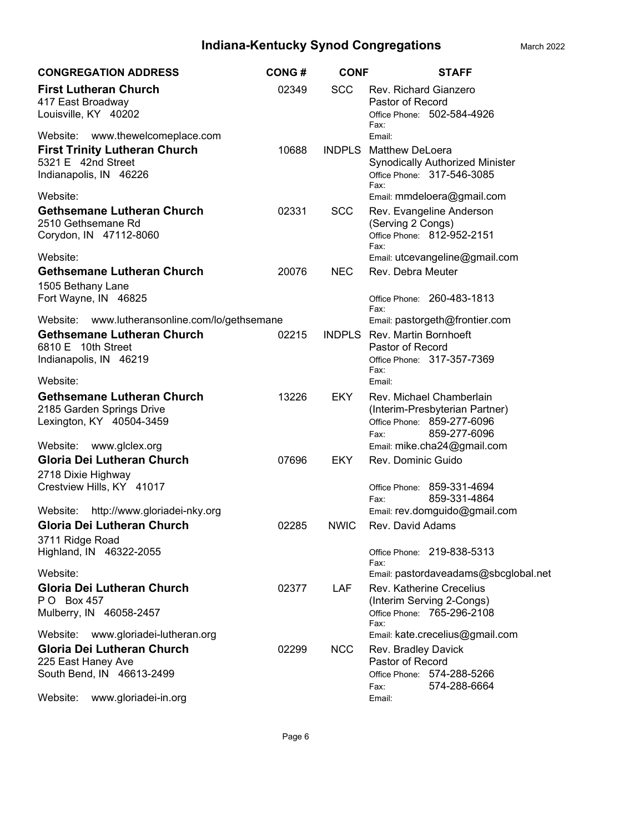| <b>CONGREGATION ADDRESS</b>                                                                                                                                        | <b>CONG#</b> | <b>CONF</b>   | <b>STAFF</b>                                                                                                                                                  |
|--------------------------------------------------------------------------------------------------------------------------------------------------------------------|--------------|---------------|---------------------------------------------------------------------------------------------------------------------------------------------------------------|
| <b>First Lutheran Church</b><br>417 East Broadway<br>Louisville, KY 40202                                                                                          | 02349        | <b>SCC</b>    | Rev. Richard Gianzero<br>Pastor of Record<br>Office Phone: 502-584-4926<br>Fax:                                                                               |
| www.thewelcomeplace.com<br>Website:<br><b>First Trinity Lutheran Church</b><br>5321 E 42nd Street<br>Indianapolis, IN 46226                                        | 10688        | <b>INDPLS</b> | Email:<br><b>Matthew DeLoera</b><br><b>Synodically Authorized Minister</b><br>Office Phone: 317-546-3085<br>Fax:                                              |
| Website:<br><b>Gethsemane Lutheran Church</b><br>2510 Gethsemane Rd<br>Corydon, IN 47112-8060                                                                      | 02331        | <b>SCC</b>    | Email: mmdeloera@gmail.com<br>Rev. Evangeline Anderson<br>(Serving 2 Congs)<br>Office Phone: 812-952-2151<br>Fax:                                             |
| Website:<br><b>Gethsemane Lutheran Church</b><br>1505 Bethany Lane                                                                                                 | 20076        | <b>NEC</b>    | Email: utcevangeline@gmail.com<br>Rev. Debra Meuter                                                                                                           |
| Fort Wayne, IN 46825<br>www.lutheransonline.com/lo/gethsemane<br>Website:<br><b>Gethsemane Lutheran Church</b><br>6810 E 10th Street<br>Indianapolis, IN 46219     | 02215        |               | Office Phone: 260-483-1813<br>Fax:<br>Email: pastorgeth@frontier.com<br><b>INDPLS</b> Rev. Martin Bornhoeft<br>Pastor of Record<br>Office Phone: 317-357-7369 |
| Website:                                                                                                                                                           |              |               | Fax:<br>Email:                                                                                                                                                |
| <b>Gethsemane Lutheran Church</b><br>2185 Garden Springs Drive<br>Lexington, KY 40504-3459                                                                         | 13226        | <b>EKY</b>    | Rev. Michael Chamberlain<br>(Interim-Presbyterian Partner)<br>Office Phone: 859-277-6096<br>859-277-6096<br>Fax:                                              |
| Website:<br>www.glclex.org                                                                                                                                         |              |               | Email: mike.cha24@gmail.com                                                                                                                                   |
| Gloria Dei Lutheran Church<br>2718 Dixie Highway<br>Crestview Hills, KY 41017                                                                                      | 07696        | <b>EKY</b>    | Rev. Dominic Guido<br>Office Phone: 859-331-4694<br>859-331-4864<br>Fax:                                                                                      |
| Website:<br>http://www.gloriadei-nky.org                                                                                                                           |              |               | Email: rev.domguido@gmail.com                                                                                                                                 |
| <b>Gloria Dei Lutheran Church</b><br>3711 Ridge Road<br>Highland, IN 46322-2055                                                                                    | 02285        | <b>NWIC</b>   | Rev. David Adams<br>Office Phone: 219-838-5313<br>Fax:                                                                                                        |
| Website:<br>Gloria Dei Lutheran Church<br>P O Box 457<br>Mulberry, IN 46058-2457                                                                                   | 02377        | LAF           | Email: pastordaveadams@sbcglobal.net<br><b>Rev. Katherine Crecelius</b><br>(Interim Serving 2-Congs)<br>Office Phone: 765-296-2108<br>Fax:                    |
| Website:<br>www.gloriadei-lutheran.org<br><b>Gloria Dei Lutheran Church</b><br>225 East Haney Ave<br>South Bend, IN 46613-2499<br>Website:<br>www.gloriadei-in.org | 02299        | <b>NCC</b>    | Email: kate.crecelius@gmail.com<br>Rev. Bradley Davick<br>Pastor of Record<br>Office Phone: 574-288-5266<br>574-288-6664<br>Fax:<br>Email:                    |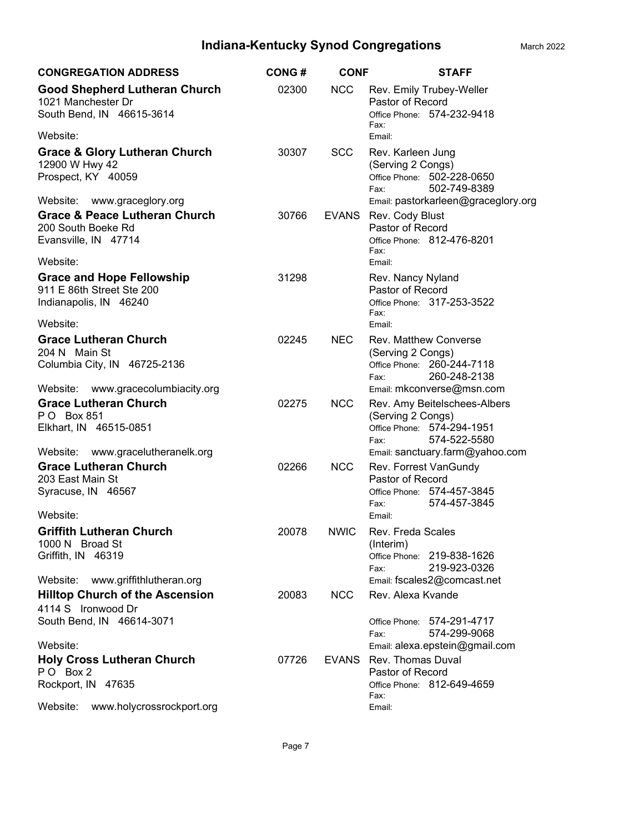| <b>CONGREGATION ADDRESS</b>                                                                                         | <b>CONG#</b> | <b>CONF</b>  | <b>STAFF</b>                                                                                                                         |
|---------------------------------------------------------------------------------------------------------------------|--------------|--------------|--------------------------------------------------------------------------------------------------------------------------------------|
| <b>Good Shepherd Lutheran Church</b><br>1021 Manchester Dr<br>South Bend, IN 46615-3614                             | 02300        | <b>NCC</b>   | Rev. Emily Trubey-Weller<br>Pastor of Record<br>Office Phone: 574-232-9418<br>Fax:                                                   |
| Website:                                                                                                            |              |              | Email:                                                                                                                               |
| <b>Grace &amp; Glory Lutheran Church</b><br>12900 W Hwy 42<br>Prospect, KY 40059<br>Website:<br>www.graceglory.org  | 30307        | <b>SCC</b>   | Rev. Karleen Jung<br>(Serving 2 Congs)<br>Office Phone: 502-228-0650<br>502-749-8389<br>Fax:<br>Email: pastorkarleen@graceglory.org  |
| <b>Grace &amp; Peace Lutheran Church</b><br>200 South Boeke Rd<br>Evansville, IN 47714                              | 30766        | <b>EVANS</b> | Rev. Cody Blust<br>Pastor of Record<br>Office Phone: 812-476-8201                                                                    |
| Website:                                                                                                            |              |              | Fax:<br>Email:                                                                                                                       |
| <b>Grace and Hope Fellowship</b><br>911 E 86th Street Ste 200<br>Indianapolis, IN 46240                             | 31298        |              | Rev. Nancy Nyland<br>Pastor of Record<br>Office Phone: 317-253-3522<br>Fax:                                                          |
| Website:                                                                                                            |              |              | Email:                                                                                                                               |
| <b>Grace Lutheran Church</b><br>204 N Main St<br>Columbia City, IN 46725-2136<br>Website: www.gracecolumbiacity.org | 02245        | <b>NEC</b>   | <b>Rev. Matthew Converse</b><br>(Serving 2 Congs)<br>Office Phone: 260-244-7118<br>260-248-2138<br>Fax:<br>Email: mkconverse@msn.com |
| <b>Grace Lutheran Church</b><br>P O Box 851<br>Elkhart, IN 46515-0851                                               | 02275        | <b>NCC</b>   | Rev. Amy Beitelschees-Albers<br>(Serving 2 Congs)<br>Office Phone: 574-294-1951<br>574-522-5580<br>Fax:                              |
| Website: www.gracelutheranelk.org<br><b>Grace Lutheran Church</b>                                                   |              |              | Email: sanctuary.farm@yahoo.com                                                                                                      |
| 203 East Main St<br>Syracuse, IN 46567                                                                              | 02266        | <b>NCC</b>   | Rev. Forrest VanGundy<br>Pastor of Record<br>Office Phone: 574-457-3845<br>574-457-3845<br>Fax:                                      |
| Website:                                                                                                            |              |              | Email:                                                                                                                               |
| <b>Griffith Lutheran Church</b><br>1000 N Broad St<br>Griffith, IN 46319<br>Website: www.griffithlutheran.org       | 20078        | <b>NWIC</b>  | Rev. Freda Scales<br>(Interim)<br>Office Phone: 219-838-1626<br>219-923-0326<br>Fax:<br>Email: fscales2@comcast.net                  |
| <b>Hilltop Church of the Ascension</b>                                                                              | 20083        | <b>NCC</b>   | Rev. Alexa Kvande                                                                                                                    |
| 4114 S Ironwood Dr<br>South Bend, IN 46614-3071                                                                     |              |              | Office Phone: 574-291-4717<br>574-299-9068<br>Fax:                                                                                   |
| Website:                                                                                                            |              |              | Email: alexa.epstein@gmail.com                                                                                                       |
| <b>Holy Cross Lutheran Church</b>                                                                                   | 07726        | <b>EVANS</b> | Rev. Thomas Duval                                                                                                                    |
| PO Box 2<br>Rockport, IN 47635                                                                                      |              |              | Pastor of Record<br>Office Phone: 812-649-4659<br>Fax:                                                                               |
| Website:<br>www.holycrossrockport.org                                                                               |              |              | Email:                                                                                                                               |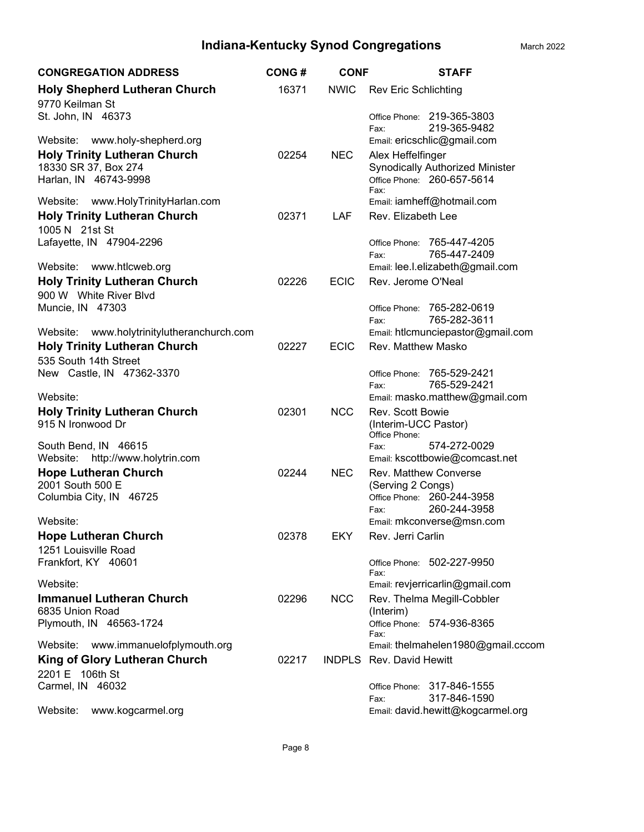| <b>CONGREGATION ADDRESS</b>                                                          | <b>CONG#</b> | <b>CONF</b> | <b>STAFF</b>                                                |
|--------------------------------------------------------------------------------------|--------------|-------------|-------------------------------------------------------------|
| <b>Holy Shepherd Lutheran Church</b>                                                 | 16371        | <b>NWIC</b> | <b>Rev Eric Schlichting</b>                                 |
| 9770 Keilman St                                                                      |              |             |                                                             |
| St. John, IN 46373                                                                   |              |             | Office Phone: 219-365-3803                                  |
|                                                                                      |              |             | 219-365-9482<br>Fax:                                        |
| Website:<br>www.holy-shepherd.org                                                    |              |             | Email: ericschlic@gmail.com                                 |
| <b>Holy Trinity Lutheran Church</b><br>18330 SR 37, Box 274                          | 02254        | <b>NEC</b>  | Alex Heffelfinger<br><b>Synodically Authorized Minister</b> |
| Harlan, IN 46743-9998                                                                |              |             | Office Phone: 260-657-5614                                  |
|                                                                                      |              |             | Fax:                                                        |
| Website: www.HolyTrinityHarlan.com                                                   |              |             | Email: iamheff@hotmail.com                                  |
| <b>Holy Trinity Lutheran Church</b>                                                  | 02371        | LAF         | Rev. Elizabeth Lee                                          |
| 1005 N 21st St<br>Lafayette, IN 47904-2296                                           |              |             | 765-447-4205<br>Office Phone:                               |
|                                                                                      |              |             | 765-447-2409<br>Fax:                                        |
| Website:<br>www.htlcweb.org                                                          |              |             | Email: lee.l.elizabeth@gmail.com                            |
| <b>Holy Trinity Lutheran Church</b>                                                  | 02226        | <b>ECIC</b> | Rev. Jerome O'Neal                                          |
| 900 W White River Blvd                                                               |              |             |                                                             |
| Muncie, IN 47303                                                                     |              |             | 765-282-0619<br>Office Phone:                               |
|                                                                                      |              |             | 765-282-3611<br>Fax:                                        |
| Website:<br>www.holytrinitylutheranchurch.com<br><b>Holy Trinity Lutheran Church</b> | 02227        | <b>ECIC</b> | Email: htlcmunciepastor@gmail.com<br>Rev. Matthew Masko     |
| 535 South 14th Street                                                                |              |             |                                                             |
| New Castle, IN 47362-3370                                                            |              |             | Office Phone: 765-529-2421                                  |
|                                                                                      |              |             | 765-529-2421<br>Fax:                                        |
| Website:                                                                             |              |             | Email: masko.matthew@gmail.com                              |
| <b>Holy Trinity Lutheran Church</b>                                                  | 02301        | <b>NCC</b>  | Rev. Scott Bowie                                            |
| 915 N Ironwood Dr                                                                    |              |             | (Interim-UCC Pastor)<br>Office Phone:                       |
| South Bend, IN 46615                                                                 |              |             | 574-272-0029<br>Fax:                                        |
| Website: http://www.holytrin.com                                                     |              |             | Email: kscottbowie@comcast.net                              |
| <b>Hope Lutheran Church</b>                                                          | 02244        | NEC.        | Rev. Matthew Converse                                       |
| 2001 South 500 E                                                                     |              |             | (Serving 2 Congs)                                           |
| Columbia City, IN 46725                                                              |              |             | Office Phone: 260-244-3958<br>260-244-3958<br>Fax:          |
| Website:                                                                             |              |             | Email: mkconverse@msn.com                                   |
| <b>Hope Lutheran Church</b>                                                          | 02378        | <b>EKY</b>  | Rev. Jerri Carlin                                           |
| 1251 Louisville Road                                                                 |              |             |                                                             |
| Frankfort, KY 40601                                                                  |              |             | Office Phone: 502-227-9950                                  |
| Website:                                                                             |              |             | Fax:<br>Email: revjerricarlin@gmail.com                     |
| <b>Immanuel Lutheran Church</b>                                                      | 02296        | NCC         | Rev. Thelma Megill-Cobbler                                  |
| 6835 Union Road                                                                      |              |             | (Interim)                                                   |
| Plymouth, IN 46563-1724                                                              |              |             | Office Phone: 574-936-8365                                  |
|                                                                                      |              |             | Fax:<br>Email: thelmahelen1980@gmail.cccom                  |
| www.immanuelofplymouth.org<br>Website:<br><b>King of Glory Lutheran Church</b>       | 02217        |             | INDPLS Rev. David Hewitt                                    |
| 2201 E 106th St                                                                      |              |             |                                                             |
| Carmel, IN 46032                                                                     |              |             | Office Phone: 317-846-1555                                  |
|                                                                                      |              |             | 317-846-1590<br>Fax:                                        |
| Website:<br>www.kogcarmel.org                                                        |              |             | Email: david.hewitt@kogcarmel.org                           |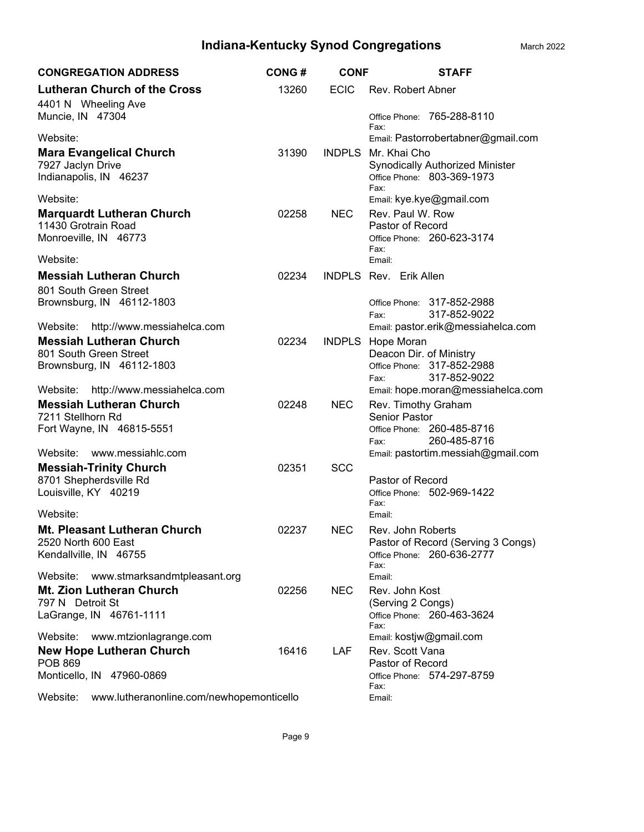| <b>CONGREGATION ADDRESS</b>                                                          | <b>CONG#</b> | <b>CONF</b> | <b>STAFF</b>                                                                                 |
|--------------------------------------------------------------------------------------|--------------|-------------|----------------------------------------------------------------------------------------------|
| <b>Lutheran Church of the Cross</b>                                                  | 13260        | <b>ECIC</b> | Rev. Robert Abner                                                                            |
| 4401 N Wheeling Ave<br>Muncie, IN 47304                                              |              |             | Office Phone: 765-288-8110<br>Fax:                                                           |
| Website:                                                                             |              |             | Email: Pastorrobertabner@gmail.com                                                           |
| <b>Mara Evangelical Church</b><br>7927 Jaclyn Drive<br>Indianapolis, IN 46237        | 31390        |             | INDPLS Mr. Khai Cho<br>Synodically Authorized Minister<br>Office Phone: 803-369-1973<br>Fax: |
| Website:                                                                             |              |             | Email: kye.kye@gmail.com                                                                     |
| <b>Marquardt Lutheran Church</b>                                                     | 02258        | <b>NEC</b>  | Rev. Paul W. Row                                                                             |
| 11430 Grotrain Road<br>Monroeville, IN 46773                                         |              |             | Pastor of Record<br>Office Phone: 260-623-3174<br>Fax:                                       |
| Website:                                                                             |              |             | Email:                                                                                       |
| <b>Messiah Lutheran Church</b>                                                       | 02234        |             | <b>INDPLS Rev. Erik Allen</b>                                                                |
| 801 South Green Street<br>Brownsburg, IN 46112-1803                                  |              |             | Office Phone: 317-852-2988<br>317-852-9022<br>Fax:                                           |
| http://www.messiahelca.com<br>Website:                                               |              |             | Email: pastor.erik@messiahelca.com                                                           |
| <b>Messiah Lutheran Church</b>                                                       | 02234        |             | <b>INDPLS</b> Hope Moran                                                                     |
| 801 South Green Street<br>Brownsburg, IN 46112-1803                                  |              |             | Deacon Dir. of Ministry<br>Office Phone: 317-852-2988<br>317-852-9022<br>Fax:                |
| http://www.messiahelca.com<br>Website:                                               |              |             | Email: hope.moran@messiahelca.com                                                            |
| <b>Messiah Lutheran Church</b><br>7211 Stellhorn Rd                                  | 02248        | <b>NEC</b>  | Rev. Timothy Graham<br><b>Senior Pastor</b>                                                  |
| Fort Wayne, IN 46815-5551                                                            |              |             | Office Phone: 260-485-8716<br>260-485-8716<br>Fax:                                           |
| Website:<br>www.messiahlc.com                                                        |              |             | Email: pastortim.messiah@gmail.com                                                           |
| <b>Messiah-Trinity Church</b>                                                        | 02351        | <b>SCC</b>  |                                                                                              |
| 8701 Shepherdsville Rd<br>Louisville, KY 40219                                       |              |             | Pastor of Record<br>Office Phone: 502-969-1422<br>Fax:                                       |
| Website:                                                                             |              |             | Email:                                                                                       |
| <b>Mt. Pleasant Lutheran Church</b><br>2520 North 600 East<br>Kendallville, IN 46755 | 02237        | <b>NEC</b>  | Rev. John Roberts<br>Pastor of Record (Serving 3 Congs)<br>Office Phone: 260-636-2777        |
| www.stmarksandmtpleasant.org<br>Website:                                             |              |             | Fax:<br>Email:                                                                               |
| <b>Mt. Zion Lutheran Church</b>                                                      | 02256        | <b>NEC</b>  | Rev. John Kost                                                                               |
| 797 N Detroit St                                                                     |              |             | (Serving 2 Congs)                                                                            |
| LaGrange, IN 46761-1111                                                              |              |             | Office Phone: 260-463-3624<br>Fax:                                                           |
| Website:<br>www.mtzionlagrange.com                                                   |              |             | Email: kostjw@gmail.com                                                                      |
| <b>New Hope Lutheran Church</b>                                                      | 16416        | LAF.        | Rev. Scott Vana                                                                              |
| <b>POB 869</b><br>Monticello, IN 47960-0869                                          |              |             | Pastor of Record<br>Office Phone: 574-297-8759<br>Fax:                                       |
| Website:<br>www.lutheranonline.com/newhopemonticello                                 |              |             | Email:                                                                                       |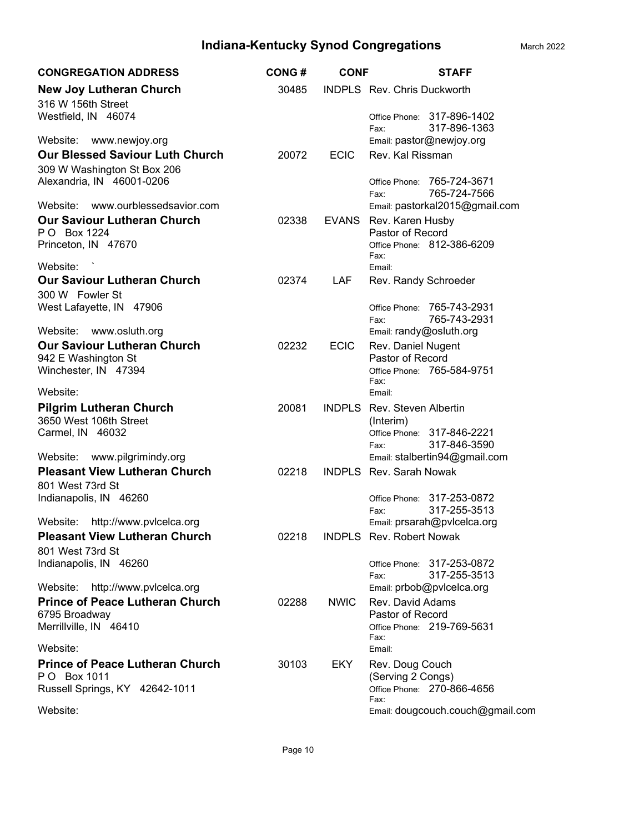| <b>CONGREGATION ADDRESS</b>                                                                   | <b>CONG#</b> | <b>CONF</b>  | <b>STAFF</b>                                                                         |
|-----------------------------------------------------------------------------------------------|--------------|--------------|--------------------------------------------------------------------------------------|
| <b>New Joy Lutheran Church</b>                                                                | 30485        |              | INDPLS Rev. Chris Duckworth                                                          |
| 316 W 156th Street<br>Westfield, IN 46074                                                     |              |              | Office Phone: 317-896-1402<br>317-896-1363<br>Fax:                                   |
| Website:<br>www.newjoy.org                                                                    |              |              | Email: pastor@newjoy.org                                                             |
| <b>Our Blessed Saviour Luth Church</b>                                                        | 20072        | <b>ECIC</b>  | Rev. Kal Rissman                                                                     |
| 309 W Washington St Box 206<br>Alexandria, IN 46001-0206<br>Website: www.ourblessedsavior.com |              |              | Office Phone: 765-724-3671<br>765-724-7566<br>Fax:<br>Email: pastorkal2015@gmail.com |
| <b>Our Saviour Lutheran Church</b>                                                            | 02338        | <b>EVANS</b> | Rev. Karen Husby                                                                     |
| PO Box 1224                                                                                   |              |              | Pastor of Record                                                                     |
| Princeton, IN 47670                                                                           |              |              | Office Phone: 812-386-6209<br>Fax:                                                   |
| Website:                                                                                      |              |              | Email:                                                                               |
| <b>Our Saviour Lutheran Church</b><br>300 W Fowler St                                         | 02374        | LAF          | Rev. Randy Schroeder                                                                 |
| West Lafayette, IN 47906                                                                      |              |              | Office Phone: 765-743-2931                                                           |
|                                                                                               |              |              | 765-743-2931<br>Fax:                                                                 |
| Website: www.osluth.org                                                                       |              |              | Email: randy@osluth.org                                                              |
| <b>Our Saviour Lutheran Church</b>                                                            | 02232        | <b>ECIC</b>  | Rev. Daniel Nugent                                                                   |
| 942 E Washington St<br>Winchester, IN 47394                                                   |              |              | Pastor of Record<br>Office Phone: 765-584-9751                                       |
| Website:                                                                                      |              |              | Fax:<br>Email:                                                                       |
| <b>Pilgrim Lutheran Church</b>                                                                | 20081        |              | <b>INDPLS</b> Rev. Steven Albertin                                                   |
| 3650 West 106th Street                                                                        |              |              | (Interim)                                                                            |
| Carmel, IN 46032                                                                              |              |              | Office Phone: 317-846-2221<br>317-846-3590                                           |
| Website: www.pilgrimindy.org                                                                  |              |              | Fax:<br>Email: stalbertin94@gmail.com                                                |
| <b>Pleasant View Lutheran Church</b>                                                          | 02218        |              | <b>INDPLS</b> Rev. Sarah Nowak                                                       |
| 801 West 73rd St                                                                              |              |              |                                                                                      |
| Indianapolis, IN 46260                                                                        |              |              | Office Phone: 317-253-0872                                                           |
|                                                                                               |              |              | 317-255-3513<br>Fax:                                                                 |
| Website: http://www.pvlcelca.org                                                              |              |              | Email: prsarah@pvlcelca.org                                                          |
| <b>Pleasant View Lutheran Church</b>                                                          | 02218        |              | INDPLS Rev. Robert Nowak                                                             |
| 801 West 73rd St<br>Indianapolis, IN 46260                                                    |              |              | Office Phone: 317-253-0872                                                           |
|                                                                                               |              |              | 317-255-3513<br>Fax:                                                                 |
| http://www.pvlcelca.org<br>Website:                                                           |              |              | Email: prbob@pvlcelca.org                                                            |
| <b>Prince of Peace Lutheran Church</b>                                                        | 02288        | <b>NWIC</b>  | Rev. David Adams                                                                     |
| 6795 Broadway                                                                                 |              |              | Pastor of Record                                                                     |
| Merrillville, IN 46410                                                                        |              |              | Office Phone: 219-769-5631<br>Fax:                                                   |
| Website:                                                                                      |              |              | Email:                                                                               |
| <b>Prince of Peace Lutheran Church</b>                                                        | 30103        | EKY          | Rev. Doug Couch                                                                      |
| P O Box 1011                                                                                  |              |              | (Serving 2 Congs)                                                                    |
| Russell Springs, KY 42642-1011                                                                |              |              | Office Phone: 270-866-4656<br>Fax:                                                   |
| Website:                                                                                      |              |              | Email: dougcouch.couch@gmail.com                                                     |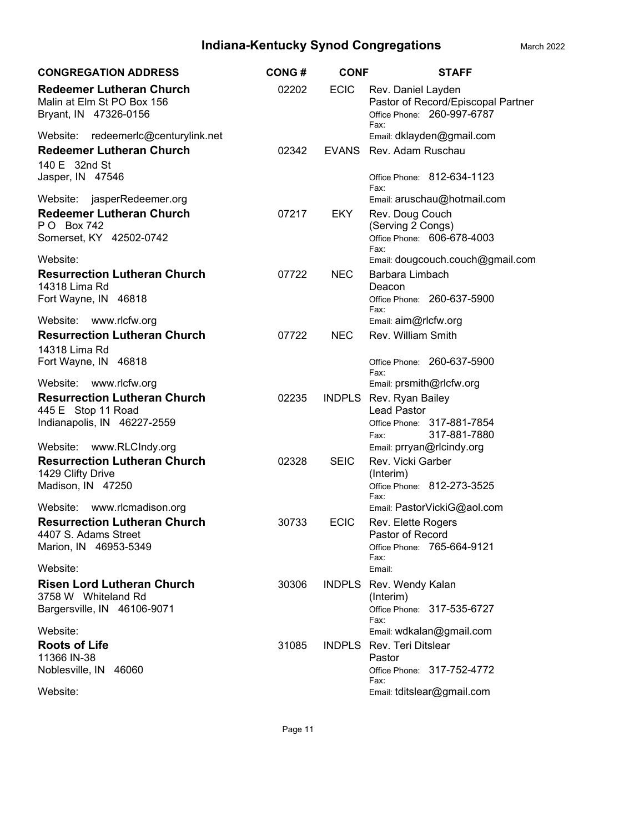| <b>CONGREGATION ADDRESS</b>                                                            | <b>CONG#</b> | <b>CONF</b>  | <b>STAFF</b>                                                                                   |
|----------------------------------------------------------------------------------------|--------------|--------------|------------------------------------------------------------------------------------------------|
| <b>Redeemer Lutheran Church</b><br>Malin at Elm St PO Box 156<br>Bryant, IN 47326-0156 | 02202        | <b>ECIC</b>  | Rev. Daniel Layden<br>Pastor of Record/Episcopal Partner<br>Office Phone: 260-997-6787<br>Fax: |
| redeemerlc@centurylink.net<br>Website:                                                 |              |              | Email: dklayden@gmail.com                                                                      |
| <b>Redeemer Lutheran Church</b><br>140 E 32nd St                                       | 02342        | <b>EVANS</b> | Rev. Adam Ruschau                                                                              |
| Jasper, IN 47546                                                                       |              |              | Office Phone: 812-634-1123<br>Fax:                                                             |
| Website: jasperRedeemer.org                                                            |              |              | Email: aruschau@hotmail.com                                                                    |
| <b>Redeemer Lutheran Church</b><br>P O Box 742                                         | 07217        | EKY.         | Rev. Doug Couch<br>(Serving 2 Congs)                                                           |
| Somerset, KY 42502-0742                                                                |              |              | Office Phone: 606-678-4003<br>Fax:                                                             |
| Website:                                                                               |              |              | Email: dougcouch.couch@gmail.com                                                               |
| <b>Resurrection Lutheran Church</b><br>14318 Lima Rd                                   | 07722        | <b>NEC</b>   | Barbara Limbach<br>Deacon                                                                      |
| Fort Wayne, IN 46818                                                                   |              |              | Office Phone: 260-637-5900<br>Fax:                                                             |
| Website: www.rlcfw.org                                                                 |              |              | Email: aim@rlcfw.org                                                                           |
| <b>Resurrection Lutheran Church</b><br>14318 Lima Rd                                   | 07722        | <b>NEC</b>   | Rev. William Smith                                                                             |
| Fort Wayne, IN 46818                                                                   |              |              | Office Phone: 260-637-5900<br>Fax:                                                             |
| Website: www.rlcfw.org                                                                 |              |              | Email: prsmith@rlcfw.org                                                                       |
| <b>Resurrection Lutheran Church</b><br>445 E Stop 11 Road                              | 02235        |              | INDPLS Rev. Ryan Bailey<br><b>Lead Pastor</b>                                                  |
| Indianapolis, IN 46227-2559                                                            |              |              | Office Phone: 317-881-7854                                                                     |
|                                                                                        |              |              | 317-881-7880<br>Fax:                                                                           |
| Website: www.RLCIndy.org                                                               |              |              | Email: prryan@rlcindy.org                                                                      |
| <b>Resurrection Lutheran Church</b><br>1429 Clifty Drive                               | 02328        | <b>SEIC</b>  | Rev. Vicki Garber<br>(Interim)                                                                 |
| Madison, IN 47250                                                                      |              |              | Office Phone: 812-273-3525<br>Fax:                                                             |
| Website:<br>www.rlcmadison.org                                                         |              |              | Email: PastorVickiG@aol.com                                                                    |
| <b>Resurrection Lutheran Church</b>                                                    | 30733        | <b>ECIC</b>  | Rev. Elette Rogers                                                                             |
| 4407 S. Adams Street<br>Marion, IN 46953-5349                                          |              |              | Pastor of Record<br>Office Phone: 765-664-9121                                                 |
| Website:                                                                               |              |              | Fax:<br>Email:                                                                                 |
| <b>Risen Lord Lutheran Church</b>                                                      | 30306        |              | INDPLS Rev. Wendy Kalan                                                                        |
| 3758 W Whiteland Rd                                                                    |              |              | (Interim)                                                                                      |
| Bargersville, IN 46106-9071                                                            |              |              | Office Phone: 317-535-6727<br>Fax:                                                             |
| Website:                                                                               |              |              | Email: wdkalan@gmail.com                                                                       |
| <b>Roots of Life</b><br>11366 IN-38                                                    | 31085        |              | <b>INDPLS</b> Rev. Teri Ditslear<br>Pastor                                                     |
| Noblesville, IN 46060                                                                  |              |              | Office Phone: 317-752-4772<br>Fax:                                                             |
| Website:                                                                               |              |              | Email: tditslear@gmail.com                                                                     |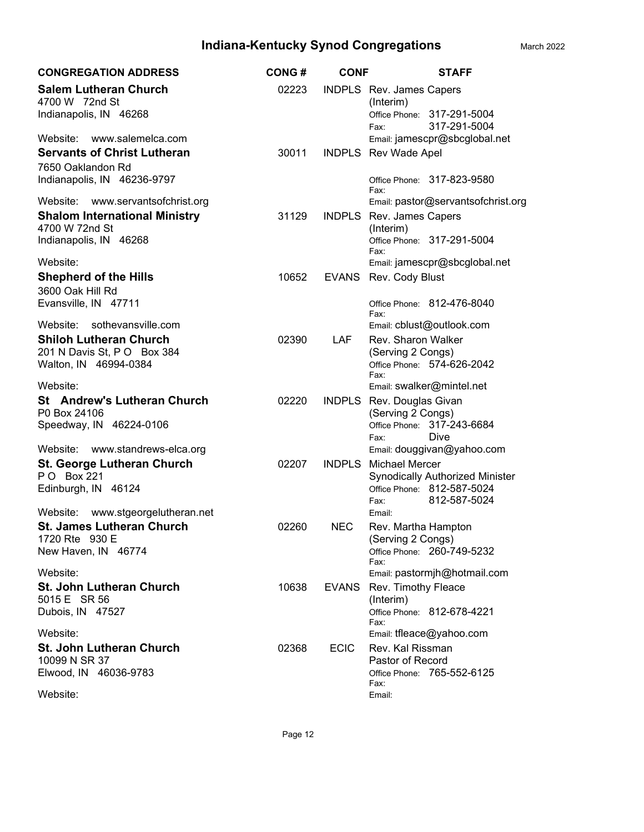| <b>CONGREGATION ADDRESS</b>                                                   | <b>CONG#</b> | <b>CONF</b>   | <b>STAFF</b>                                                                                                   |
|-------------------------------------------------------------------------------|--------------|---------------|----------------------------------------------------------------------------------------------------------------|
| <b>Salem Lutheran Church</b><br>4700 W 72nd St<br>Indianapolis, IN 46268      | 02223        |               | INDPLS Rev. James Capers<br>(Interim)<br>Office Phone: 317-291-5004<br>317-291-5004<br>Fax:                    |
| Website: www.salemelca.com                                                    |              |               | Email: jamescpr@sbcglobal.net                                                                                  |
| <b>Servants of Christ Lutheran</b>                                            | 30011        |               | INDPLS Rev Wade Apel                                                                                           |
| 7650 Oaklandon Rd<br>Indianapolis, IN 46236-9797                              |              |               | Office Phone: 317-823-9580<br>Fax:                                                                             |
| www.servantsofchrist.org<br>Website:                                          |              |               | Email: pastor@servantsofchrist.org                                                                             |
| <b>Shalom International Ministry</b><br>4700 W 72nd St                        | 31129        | <b>INDPLS</b> | Rev. James Capers<br>(Interim)                                                                                 |
| Indianapolis, IN 46268                                                        |              |               | Office Phone: 317-291-5004<br>Fax:                                                                             |
| Website:                                                                      |              |               | Email: jamescpr@sbcglobal.net                                                                                  |
| <b>Shepherd of the Hills</b><br>3600 Oak Hill Rd                              | 10652        | <b>EVANS</b>  | Rev. Cody Blust                                                                                                |
| Evansville, IN 47711                                                          |              |               | Office Phone: 812-476-8040<br>Fax:                                                                             |
| Website:<br>sothevansville.com                                                |              |               | Email: cblust@outlook.com                                                                                      |
| <b>Shiloh Lutheran Church</b>                                                 | 02390        | <b>LAF</b>    | Rev. Sharon Walker                                                                                             |
| 201 N Davis St, P O Box 384                                                   |              |               | (Serving 2 Congs)                                                                                              |
| Walton, IN 46994-0384                                                         |              |               | Office Phone: 574-626-2042<br>Fax:                                                                             |
| Website:                                                                      |              |               | Email: swalker@mintel.net                                                                                      |
| <b>St</b> Andrew's Lutheran Church<br>P0 Box 24106<br>Speedway, IN 46224-0106 | 02220        | <b>INDPLS</b> | Rev. Douglas Givan<br>(Serving 2 Congs)<br>Office Phone: 317-243-6684<br>Dive<br>Fax:                          |
| Website: www.standrews-elca.org                                               |              |               | Email: douggivan@yahoo.com                                                                                     |
| <b>St. George Lutheran Church</b><br>PO Box 221<br>Edinburgh, IN 46124        | 02207        | <b>INDPLS</b> | <b>Michael Mercer</b><br>Synodically Authorized Minister<br>Office Phone: 812-587-5024<br>812-587-5024<br>Fax: |
| Website:<br>www.stgeorgelutheran.net                                          |              |               | Email:                                                                                                         |
| <b>St. James Lutheran Church</b>                                              | 02260        | <b>NEC</b>    | Rev. Martha Hampton                                                                                            |
| 1720 Rte 930 E<br>New Haven, IN 46774                                         |              |               | (Serving 2 Congs)<br>Office Phone: 260-749-5232<br>Fax:                                                        |
| Website:                                                                      |              |               | Email: pastormjh@hotmail.com                                                                                   |
| <b>St. John Lutheran Church</b>                                               | 10638        | EVANS         | Rev. Timothy Fleace                                                                                            |
| 5015 E SR 56<br>Dubois, IN 47527                                              |              |               | (Interim)<br>Office Phone: 812-678-4221<br>Fax:                                                                |
| Website:                                                                      |              |               | Email: tfleace@yahoo.com                                                                                       |
| <b>St. John Lutheran Church</b>                                               | 02368        | <b>ECIC</b>   | Rev. Kal Rissman                                                                                               |
| 10099 N SR 37                                                                 |              |               | Pastor of Record                                                                                               |
| Elwood, IN 46036-9783                                                         |              |               | Office Phone: 765-552-6125<br>Fax:                                                                             |
| Website:                                                                      |              |               | Email:                                                                                                         |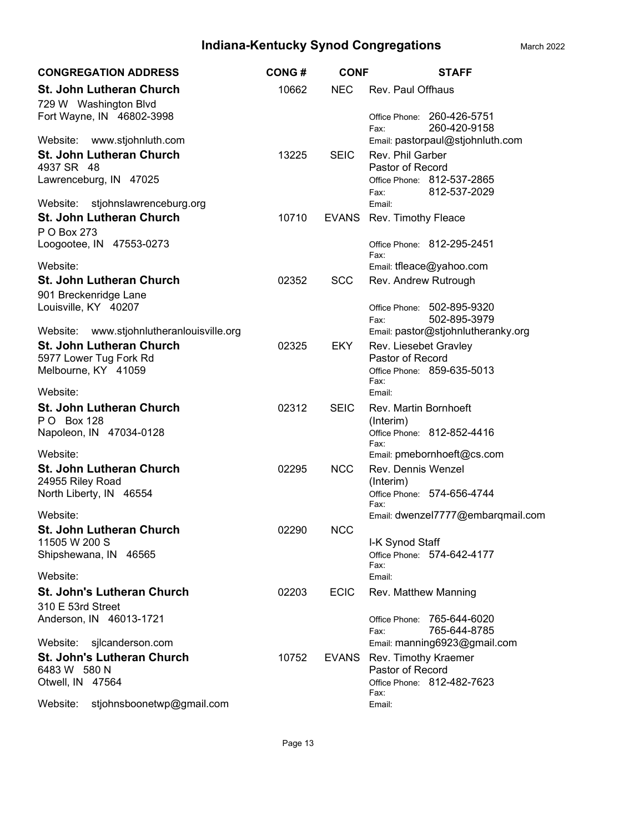| <b>CONGREGATION ADDRESS</b>                       | <b>CONG#</b> | <b>CONF</b> | <b>STAFF</b>                                                           |
|---------------------------------------------------|--------------|-------------|------------------------------------------------------------------------|
| St. John Lutheran Church<br>729 W Washington Blvd | 10662        | <b>NEC</b>  | Rev. Paul Offhaus                                                      |
| Fort Wayne, IN 46802-3998                         |              |             | Office Phone: 260-426-5751<br>260-420-9158<br>Fax:                     |
| Website:<br>www.stjohnluth.com                    |              |             | Email: pastorpaul@stjohnluth.com                                       |
| <b>St. John Lutheran Church</b>                   | 13225        | <b>SEIC</b> | Rev. Phil Garber                                                       |
| 4937 SR 48<br>Lawrenceburg, IN 47025              |              |             | Pastor of Record<br>Office Phone: 812-537-2865<br>812-537-2029<br>Fax: |
| Website:<br>stjohnslawrenceburg.org               |              |             | Email:                                                                 |
| St. John Lutheran Church                          | 10710        |             | EVANS Rev. Timothy Fleace                                              |
| P O Box 273                                       |              |             |                                                                        |
| Loogootee, IN 47553-0273                          |              |             | Office Phone: 812-295-2451<br>Fax:                                     |
| Website:                                          |              |             | Email: tfleace@yahoo.com                                               |
| <b>St. John Lutheran Church</b>                   | 02352        | <b>SCC</b>  | Rev. Andrew Rutrough                                                   |
| 901 Breckenridge Lane<br>Louisville, KY 40207     |              |             | Office Phone: 502-895-9320                                             |
|                                                   |              |             | 502-895-3979<br>Fax:                                                   |
| www.stjohnlutheranlouisville.org<br>Website:      |              |             | Email: pastor@stjohnlutheranky.org                                     |
| <b>St. John Lutheran Church</b>                   | 02325        | <b>EKY</b>  | Rev. Liesebet Gravley                                                  |
| 5977 Lower Tug Fork Rd<br>Melbourne, KY 41059     |              |             | Pastor of Record<br>Office Phone: 859-635-5013                         |
|                                                   |              |             | Fax:                                                                   |
| Website:                                          |              |             | Email:                                                                 |
| <b>St. John Lutheran Church</b>                   | 02312        | <b>SEIC</b> | Rev. Martin Bornhoeft                                                  |
| P O Box 128<br>Napoleon, IN 47034-0128            |              |             | (Interim)<br>Office Phone: 812-852-4416                                |
|                                                   |              |             | Fax:                                                                   |
| Website:                                          |              |             | Email: pmebornhoeft@cs.com                                             |
| <b>St. John Lutheran Church</b>                   | 02295        | <b>NCC</b>  | Rev. Dennis Wenzel                                                     |
| 24955 Riley Road<br>North Liberty, IN 46554       |              |             | (Interim)<br>Office Phone: 574-656-4744                                |
|                                                   |              |             | Fax:                                                                   |
| Website:                                          |              |             | Email: dwenzel7777@embarqmail.com                                      |
| <b>St. John Lutheran Church</b><br>11505 W 200 S  | 02290        | <b>NCC</b>  | I-K Synod Staff                                                        |
| Shipshewana, IN 46565                             |              |             | Office Phone: 574-642-4177                                             |
|                                                   |              |             | Fax:                                                                   |
| Website:                                          |              |             | Email:                                                                 |
| <b>St. John's Lutheran Church</b>                 | 02203        | <b>ECIC</b> | Rev. Matthew Manning                                                   |
| 310 E 53rd Street<br>Anderson, IN 46013-1721      |              |             | 765-644-6020<br>Office Phone:                                          |
|                                                   |              |             | 765-644-8785<br>Fax:                                                   |
| Website:<br>sjlcanderson.com                      |              |             | Email: manning6923@gmail.com                                           |
| <b>St. John's Lutheran Church</b>                 | 10752        |             | EVANS Rev. Timothy Kraemer                                             |
| 6483 W 580 N<br>Otwell, IN 47564                  |              |             | Pastor of Record<br>Office Phone: 812-482-7623                         |
|                                                   |              |             | Fax:                                                                   |
| Website:<br>stjohnsboonetwp@gmail.com             |              |             | Email:                                                                 |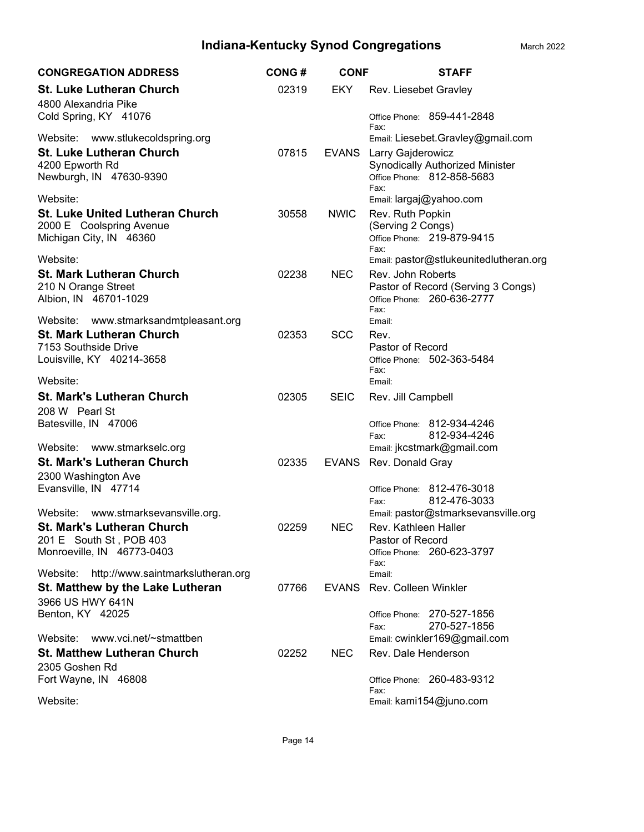| <b>CONGREGATION ADDRESS</b>                                                                           | <b>CONG#</b> | <b>CONF</b>  | <b>STAFF</b>                                                                                  |
|-------------------------------------------------------------------------------------------------------|--------------|--------------|-----------------------------------------------------------------------------------------------|
| <b>St. Luke Lutheran Church</b><br>4800 Alexandria Pike                                               | 02319        | EKY          | Rev. Liesebet Gravley                                                                         |
| Cold Spring, KY 41076                                                                                 |              |              | Office Phone: 859-441-2848<br>Fax:                                                            |
| Website: www.stlukecoldspring.org                                                                     |              |              | Email: Liesebet.Gravley@gmail.com                                                             |
| <b>St. Luke Lutheran Church</b><br>4200 Epworth Rd<br>Newburgh, IN 47630-9390                         | 07815        | EVANS        | Larry Gajderowicz<br>Synodically Authorized Minister<br>Office Phone: 812-858-5683<br>Fax:    |
| Website:                                                                                              |              |              | Email: largaj@yahoo.com                                                                       |
| <b>St. Luke United Lutheran Church</b><br>2000 E Coolspring Avenue<br>Michigan City, IN 46360         | 30558        | <b>NWIC</b>  | Rev. Ruth Popkin<br>(Serving 2 Congs)<br>Office Phone: 219-879-9415                           |
| Website:                                                                                              |              |              | Fax:<br>Email: pastor@stlukeunitedlutheran.org                                                |
| <b>St. Mark Lutheran Church</b><br>210 N Orange Street<br>Albion, IN 46701-1029                       | 02238        | <b>NEC</b>   | Rev. John Roberts<br>Pastor of Record (Serving 3 Congs)<br>Office Phone: 260-636-2777<br>Fax: |
| Website: www.stmarksandmtpleasant.org                                                                 |              |              | Email:                                                                                        |
| <b>St. Mark Lutheran Church</b><br>7153 Southside Drive<br>Louisville, KY 40214-3658                  | 02353        | <b>SCC</b>   | Rev.<br>Pastor of Record<br>Office Phone: 502-363-5484                                        |
| Website:                                                                                              |              |              | Fax:<br>Email:                                                                                |
| <b>St. Mark's Lutheran Church</b><br>208 W Pearl St                                                   | 02305        | <b>SEIC</b>  | Rev. Jill Campbell                                                                            |
| Batesville, IN 47006                                                                                  |              |              | Office Phone: 812-934-4246<br>812-934-4246<br>Fax:                                            |
| Website: www.stmarkselc.org<br><b>St. Mark's Lutheran Church</b>                                      |              |              | Email: jkcstmark@gmail.com                                                                    |
| 2300 Washington Ave                                                                                   | 02335        | <b>EVANS</b> | Rev. Donald Gray                                                                              |
| Evansville, IN 47714                                                                                  |              |              | Office Phone: 812-476-3018<br>812-476-3033<br>Fax:                                            |
| Website: www.stmarksevansville.org.                                                                   |              |              | Email: pastor@stmarksevansville.org                                                           |
| <b>St. Mark's Lutheran Church</b><br>201 E South St, POB 403<br>Monroeville, IN 46773-0403            | 02259        | <b>NEC</b>   | Rev. Kathleen Haller<br>Pastor of Record<br>Office Phone: 260-623-3797                        |
|                                                                                                       |              |              | Fax:                                                                                          |
| http://www.saintmarkslutheran.org<br>Website:<br>St. Matthew by the Lake Lutheran<br>3966 US HWY 641N | 07766        | EVANS        | Email:<br><b>Rev. Colleen Winkler</b>                                                         |
| Benton, KY 42025                                                                                      |              |              | Office Phone: 270-527-1856<br>270-527-1856<br>Fax:                                            |
| Website:<br>www.vci.net/~stmattben                                                                    |              |              | Email: cwinkler169@gmail.com                                                                  |
| <b>St. Matthew Lutheran Church</b><br>2305 Goshen Rd                                                  | 02252        | <b>NEC</b>   | Rev. Dale Henderson                                                                           |
| Fort Wayne, IN 46808                                                                                  |              |              | Office Phone: 260-483-9312<br>Fax:                                                            |
| Website:                                                                                              |              |              | Email: kami154@juno.com                                                                       |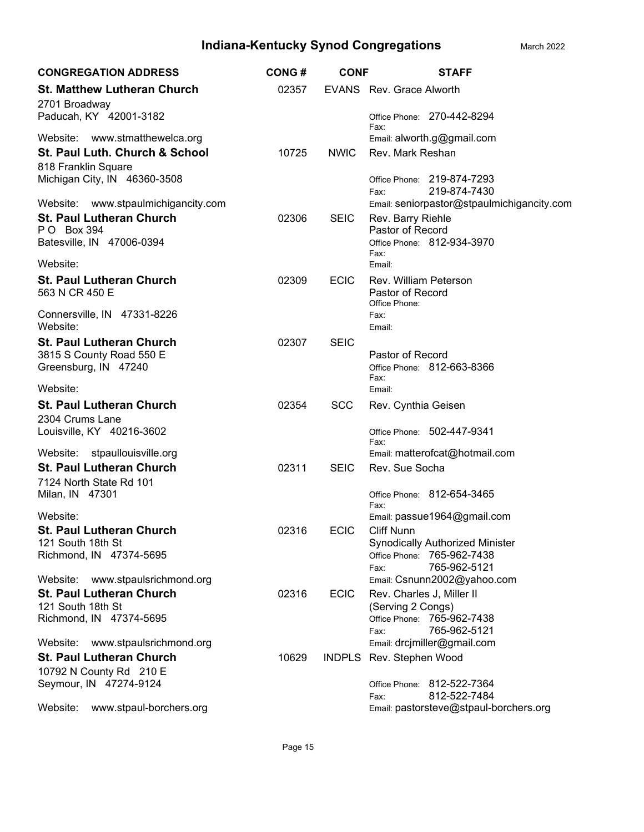| <b>CONGREGATION ADDRESS</b>                          | <b>CONG#</b> | <b>CONF</b> | <b>STAFF</b>                                       |
|------------------------------------------------------|--------------|-------------|----------------------------------------------------|
| <b>St. Matthew Lutheran Church</b><br>2701 Broadway  | 02357        |             | EVANS Rev. Grace Alworth                           |
| Paducah, KY 42001-3182                               |              |             | Office Phone: 270-442-8294<br>Fax:                 |
| Website: www.stmatthewelca.org                       |              |             | Email: alworth.g@gmail.com                         |
| St. Paul Luth. Church & School                       | 10725        | <b>NWIC</b> | Rev. Mark Reshan                                   |
| 818 Franklin Square                                  |              |             |                                                    |
| Michigan City, IN 46360-3508                         |              |             | Office Phone: 219-874-7293<br>219-874-7430<br>Fax: |
| Website: www.stpaulmichigancity.com                  |              |             | Email: seniorpastor@stpaulmichigancity.com         |
| <b>St. Paul Lutheran Church</b>                      | 02306        | <b>SEIC</b> | Rev. Barry Riehle                                  |
| P O Box 394<br>Batesville, IN 47006-0394             |              |             | Pastor of Record<br>Office Phone: 812-934-3970     |
|                                                      |              |             | Fax:                                               |
| Website:                                             |              |             | Email:                                             |
| <b>St. Paul Lutheran Church</b>                      | 02309        | <b>ECIC</b> | Rev. William Peterson                              |
| 563 N CR 450 E                                       |              |             | Pastor of Record                                   |
| Connersville, IN 47331-8226                          |              |             | Office Phone:<br>Fax:                              |
| Website:                                             |              |             | Email:                                             |
| <b>St. Paul Lutheran Church</b>                      | 02307        | <b>SEIC</b> |                                                    |
| 3815 S County Road 550 E                             |              |             | Pastor of Record                                   |
| Greensburg, IN 47240                                 |              |             | Office Phone: 812-663-8366<br>Fax:                 |
| Website:                                             |              |             | Email:                                             |
| <b>St. Paul Lutheran Church</b>                      | 02354        | <b>SCC</b>  | Rev. Cynthia Geisen                                |
| 2304 Crums Lane                                      |              |             |                                                    |
| Louisville, KY 40216-3602                            |              |             | Office Phone: 502-447-9341                         |
| Website:<br>stpaullouisville.org                     |              |             | Fax:<br>Email: matterofcat@hotmail.com             |
| <b>St. Paul Lutheran Church</b>                      | 02311        | <b>SEIC</b> | Rev. Sue Socha                                     |
| 7124 North State Rd 101                              |              |             |                                                    |
| Milan, IN 47301                                      |              |             | Office Phone: 812-654-3465                         |
| Website:                                             |              |             | Fax:<br>Email: passue1964@gmail.com                |
| <b>St. Paul Lutheran Church</b>                      | 02316        | <b>ECIC</b> | <b>Cliff Nunn</b>                                  |
| 121 South 18th St                                    |              |             | <b>Synodically Authorized Minister</b>             |
| Richmond, IN 47374-5695                              |              |             | Office Phone: 765-962-7438                         |
|                                                      |              |             | 765-962-5121<br>Fax:                               |
| Website: www.stpaulsrichmond.org                     |              |             | Email: Csnunn2002@yahoo.com                        |
| <b>St. Paul Lutheran Church</b><br>121 South 18th St | 02316        | <b>ECIC</b> | Rev. Charles J, Miller II<br>(Serving 2 Congs)     |
| Richmond, IN 47374-5695                              |              |             | Office Phone: 765-962-7438                         |
|                                                      |              |             | 765-962-5121<br>Fax:                               |
| Website:<br>www.stpaulsrichmond.org                  |              |             | Email: drcjmiller@gmail.com                        |
| <b>St. Paul Lutheran Church</b>                      | 10629        |             | INDPLS Rev. Stephen Wood                           |
| 10792 N County Rd 210 E                              |              |             |                                                    |
| Seymour, IN 47274-9124                               |              |             | Office Phone: 812-522-7364<br>812-522-7484<br>Fax: |
| www.stpaul-borchers.org<br>Website:                  |              |             | Email: pastorsteve@stpaul-borchers.org             |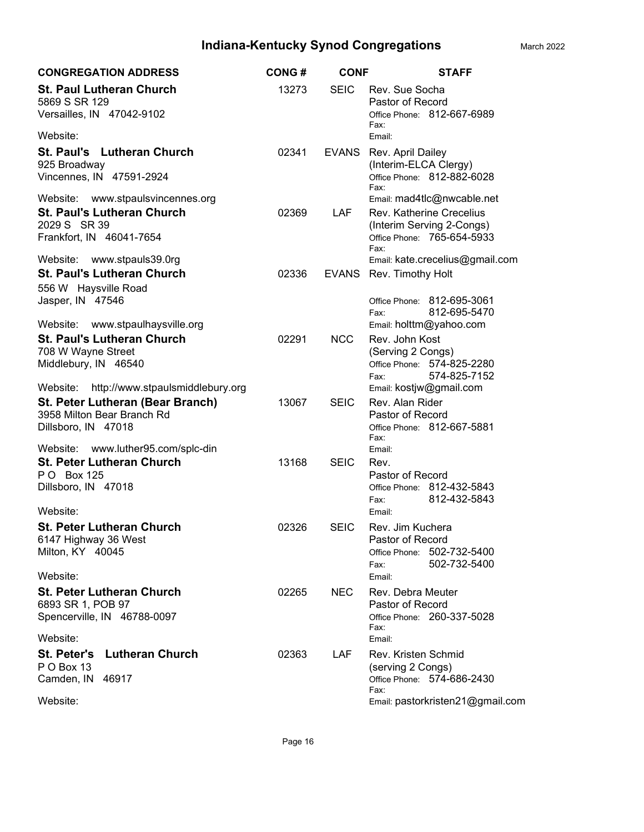| <b>CONGREGATION ADDRESS</b>                                                                                                           | <b>CONG#</b> | <b>CONF</b>  | <b>STAFF</b>                                                                                                              |
|---------------------------------------------------------------------------------------------------------------------------------------|--------------|--------------|---------------------------------------------------------------------------------------------------------------------------|
| <b>St. Paul Lutheran Church</b><br>5869 S SR 129<br>Versailles, IN 47042-9102                                                         | 13273        | <b>SEIC</b>  | Rev. Sue Socha<br>Pastor of Record<br>Office Phone: 812-667-6989<br>Fax:                                                  |
| Website:                                                                                                                              |              |              | Email:                                                                                                                    |
| St. Paul's Lutheran Church<br>925 Broadway<br>Vincennes, IN 47591-2924                                                                | 02341        | <b>EVANS</b> | Rev. April Dailey<br>(Interim-ELCA Clergy)<br>Office Phone: 812-882-6028<br>Fax:                                          |
| www.stpaulsvincennes.org<br>Website:<br><b>St. Paul's Lutheran Church</b><br>2029 S SR 39<br>Frankfort, IN 46041-7654                 | 02369        | <b>LAF</b>   | Email: mad4tlc@nwcable.net<br>Rev. Katherine Crecelius<br>(Interim Serving 2-Congs)<br>Office Phone: 765-654-5933<br>Fax: |
| Website: www.stpauls39.0rg<br><b>St. Paul's Lutheran Church</b><br>556 W Haysville Road                                               | 02336        | EVANS        | Email: kate.crecelius@gmail.com<br>Rev. Timothy Holt                                                                      |
| Jasper, IN 47546<br>Website:<br>www.stpaulhaysville.org                                                                               |              |              | Office Phone: 812-695-3061<br>812-695-5470<br>Fax:<br>Email: holttm@yahoo.com                                             |
| <b>St. Paul's Lutheran Church</b><br>708 W Wayne Street<br>Middlebury, IN 46540                                                       | 02291        | <b>NCC</b>   | Rev. John Kost<br>(Serving 2 Congs)<br>Office Phone: 574-825-2280<br>574-825-7152<br>Fax:                                 |
| http://www.stpaulsmiddlebury.org<br>Website:<br>St. Peter Lutheran (Bear Branch)<br>3958 Milton Bear Branch Rd<br>Dillsboro, IN 47018 | 13067        | <b>SEIC</b>  | Email: kostjw@gmail.com<br>Rev. Alan Rider<br>Pastor of Record<br>Office Phone: 812-667-5881<br>Fax:                      |
| Website:<br>www.luther95.com/splc-din<br><b>St. Peter Lutheran Church</b><br>P O Box 125<br>Dillsboro, IN 47018<br>Website:           | 13168        | <b>SEIC</b>  | Email:<br>Rev.<br>Pastor of Record<br>Office Phone: 812-432-5843<br>812-432-5843<br>Fax:<br>Email:                        |
| <b>St. Peter Lutheran Church</b><br>6147 Highway 36 West<br>Milton, KY 40045<br>Website:                                              | 02326        | <b>SEIC</b>  | Rev. Jim Kuchera<br>Pastor of Record<br>Office Phone: 502-732-5400<br>502-732-5400<br>Fax:<br>Email:                      |
| <b>St. Peter Lutheran Church</b><br>6893 SR 1, POB 97<br>Spencerville, IN 46788-0097<br>Website:                                      | 02265        | NEC.         | Rev. Debra Meuter<br>Pastor of Record<br>Office Phone: 260-337-5028<br>Fax:<br>Email:                                     |
| <b>Lutheran Church</b><br><b>St. Peter's</b><br>P O Box 13<br>Camden, IN 46917<br>Website:                                            | 02363        | <b>LAF</b>   | Rev. Kristen Schmid<br>(serving 2 Congs)<br>Office Phone: 574-686-2430<br>Fax:<br>Email: pastorkristen21@gmail.com        |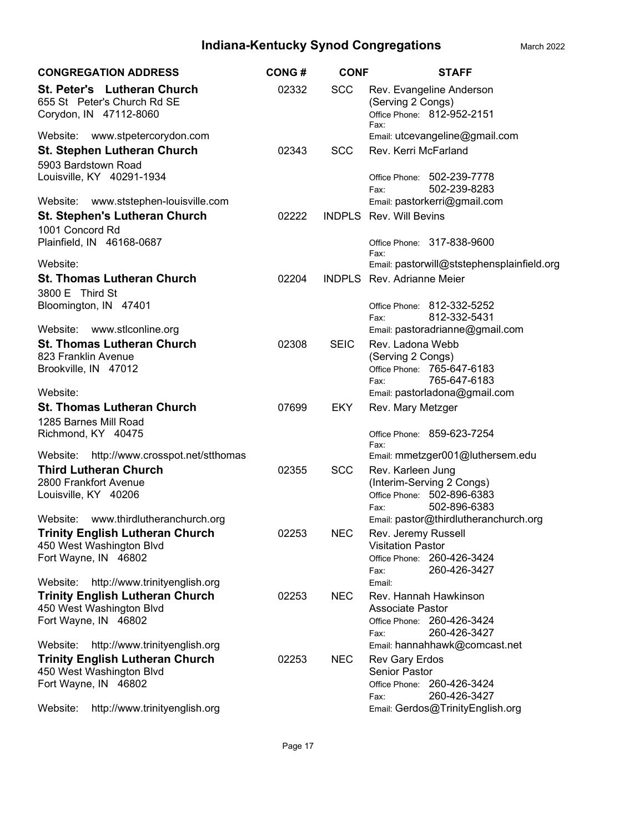| <b>CONGREGATION ADDRESS</b>                                                          | <b>CONG#</b> | <b>CONF</b> | <b>STAFF</b>                                                                        |
|--------------------------------------------------------------------------------------|--------------|-------------|-------------------------------------------------------------------------------------|
| St. Peter's Lutheran Church<br>655 St Peter's Church Rd SE<br>Corydon, IN 47112-8060 | 02332        | <b>SCC</b>  | Rev. Evangeline Anderson<br>(Serving 2 Congs)<br>Office Phone: 812-952-2151<br>Fax: |
| Website: www.stpetercorydon.com                                                      |              |             | Email: utcevangeline@gmail.com                                                      |
| <b>St. Stephen Lutheran Church</b><br>5903 Bardstown Road                            | 02343        | <b>SCC</b>  | Rev. Kerri McFarland                                                                |
| Louisville, KY 40291-1934                                                            |              |             | Office Phone: 502-239-7778<br>502-239-8283<br>Fax:                                  |
| Website: www.ststephen-louisville.com                                                |              |             | Email: pastorkerri@gmail.com                                                        |
| <b>St. Stephen's Lutheran Church</b><br>1001 Concord Rd                              | 02222        |             | <b>INDPLS</b> Rev. Will Bevins                                                      |
| Plainfield, IN 46168-0687                                                            |              |             | Office Phone: 317-838-9600<br>Fax:                                                  |
| Website:                                                                             |              |             | Email: pastorwill@ststephensplainfield.org                                          |
| <b>St. Thomas Lutheran Church</b><br>3800 E Third St                                 | 02204        |             | <b>INDPLS</b> Rev. Adrianne Meier                                                   |
| Bloomington, IN 47401                                                                |              |             | Office Phone: 812-332-5252<br>812-332-5431<br>Fax:                                  |
| Website: www.stlconline.org                                                          |              |             | Email: pastoradrianne@gmail.com                                                     |
| <b>St. Thomas Lutheran Church</b>                                                    | 02308        | <b>SEIC</b> | Rev. Ladona Webb                                                                    |
| 823 Franklin Avenue                                                                  |              |             | (Serving 2 Congs)                                                                   |
| Brookville, IN 47012                                                                 |              |             | Office Phone: 765-647-6183                                                          |
| Website:                                                                             |              |             | 765-647-6183<br>Fax:<br>Email: pastorladona@gmail.com                               |
| <b>St. Thomas Lutheran Church</b>                                                    | 07699        | <b>EKY</b>  | Rev. Mary Metzger                                                                   |
| 1285 Barnes Mill Road                                                                |              |             |                                                                                     |
| Richmond, KY 40475                                                                   |              |             | Office Phone: 859-623-7254<br>Fax:                                                  |
| Website:<br>http://www.crosspot.net/stthomas                                         |              |             | Email: mmetzger001@luthersem.edu                                                    |
| <b>Third Lutheran Church</b>                                                         | 02355        | <b>SCC</b>  | Rev. Karleen Jung                                                                   |
| 2800 Frankfort Avenue                                                                |              |             | (Interim-Serving 2 Congs)<br>Office Phone: 502-896-6383                             |
| Louisville, KY 40206                                                                 |              |             | 502-896-6383<br>Fax:                                                                |
| Website:<br>www.thirdlutheranchurch.org                                              |              |             | Email: pastor@thirdlutheranchurch.org                                               |
| <b>Trinity English Lutheran Church</b>                                               | 02253        | <b>NEC</b>  | Rev. Jeremy Russell                                                                 |
| 450 West Washington Blvd                                                             |              |             | <b>Visitation Pastor</b>                                                            |
| Fort Wayne, IN 46802                                                                 |              |             | Office Phone: 260-426-3424<br>260-426-3427<br>Fax:                                  |
| Website: http://www.trinityenglish.org                                               |              |             | Email:                                                                              |
| <b>Trinity English Lutheran Church</b>                                               | 02253        | NEC.        | Rev. Hannah Hawkinson<br>Associate Pastor                                           |
| 450 West Washington Blvd<br>Fort Wayne, IN 46802                                     |              |             | Office Phone: 260-426-3424                                                          |
|                                                                                      |              |             | 260-426-3427<br>Fax:                                                                |
| Website: http://www.trinityenglish.org                                               |              |             | Email: hannahhawk@comcast.net                                                       |
| <b>Trinity English Lutheran Church</b>                                               | 02253        | NEC.        | Rev Gary Erdos                                                                      |
| 450 West Washington Blvd                                                             |              |             | <b>Senior Pastor</b>                                                                |
| Fort Wayne, IN 46802                                                                 |              |             | Office Phone: 260-426-3424<br>260-426-3427<br>Fax:                                  |
| http://www.trinityenglish.org<br>Website:                                            |              |             | Email: Gerdos@TrinityEnglish.org                                                    |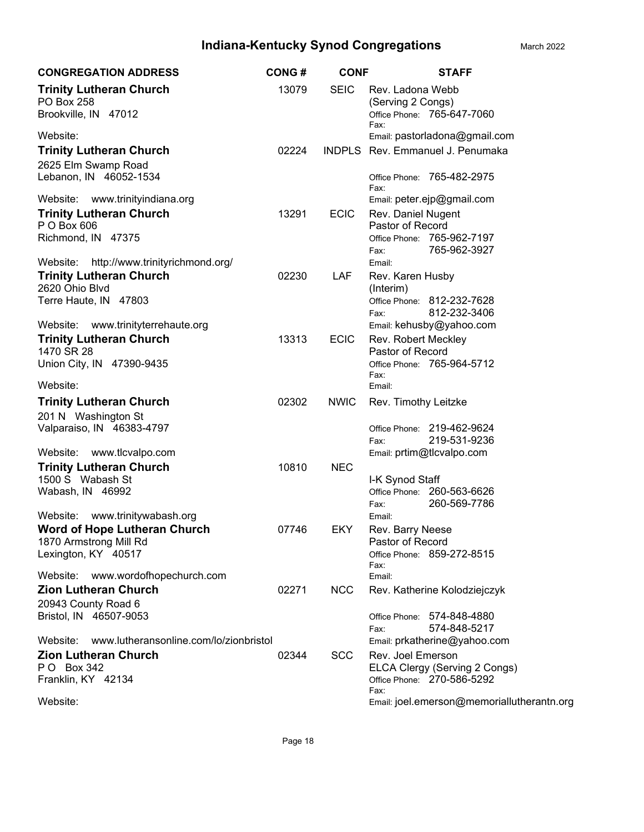| <b>CONGREGATION ADDRESS</b>                                                 | <b>CONG#</b> | <b>CONF</b> | <b>STAFF</b>                                                                |  |
|-----------------------------------------------------------------------------|--------------|-------------|-----------------------------------------------------------------------------|--|
| <b>Trinity Lutheran Church</b><br><b>PO Box 258</b><br>Brookville, IN 47012 | 13079        | <b>SEIC</b> | Rev. Ladona Webb<br>(Serving 2 Congs)<br>Office Phone: 765-647-7060<br>Fax: |  |
| Website:                                                                    |              |             | Email: pastorladona@gmail.com                                               |  |
| <b>Trinity Lutheran Church</b><br>2625 Elm Swamp Road                       | 02224        |             | <b>INDPLS</b> Rev. Emmanuel J. Penumaka                                     |  |
| Lebanon, IN 46052-1534                                                      |              |             | Office Phone: 765-482-2975<br>Fax:                                          |  |
| Website:<br>www.trinityindiana.org                                          |              |             | Email: peter.ejp@gmail.com                                                  |  |
| <b>Trinity Lutheran Church</b>                                              | 13291        | <b>ECIC</b> | Rev. Daniel Nugent                                                          |  |
| P O Box 606                                                                 |              |             | Pastor of Record<br>Office Phone: 765-962-7197                              |  |
| Richmond, IN 47375                                                          |              |             | 765-962-3927<br>Fax:                                                        |  |
| http://www.trinityrichmond.org/<br>Website:                                 |              |             | Email:                                                                      |  |
| <b>Trinity Lutheran Church</b>                                              | 02230        | LAF         | Rev. Karen Husby                                                            |  |
| 2620 Ohio Blvd                                                              |              |             | (Interim)                                                                   |  |
| Terre Haute, IN 47803                                                       |              |             | Office Phone: 812-232-7628                                                  |  |
|                                                                             |              |             | 812-232-3406<br>Fax:                                                        |  |
| Website:<br>www.trinityterrehaute.org                                       |              |             | Email: kehusby@yahoo.com                                                    |  |
| <b>Trinity Lutheran Church</b>                                              | 13313        | <b>ECIC</b> | Rev. Robert Meckley                                                         |  |
| 1470 SR 28                                                                  |              |             | Pastor of Record                                                            |  |
| Union City, IN 47390-9435                                                   |              |             | Office Phone: 765-964-5712<br>Fax:                                          |  |
| Website:                                                                    |              |             | Email:                                                                      |  |
| <b>Trinity Lutheran Church</b>                                              | 02302        | <b>NWIC</b> | Rev. Timothy Leitzke                                                        |  |
| 201 N Washington St                                                         |              |             |                                                                             |  |
| Valparaiso, IN 46383-4797                                                   |              |             | Office Phone: 219-462-9624                                                  |  |
|                                                                             |              |             | 219-531-9236<br>Fax:                                                        |  |
| Website:<br>www.tlcvalpo.com                                                |              |             | Email: prtim@tlcvalpo.com                                                   |  |
| <b>Trinity Lutheran Church</b>                                              | 10810        | <b>NEC</b>  |                                                                             |  |
| 1500 S Wabash St<br>Wabash, IN 46992                                        |              |             | I-K Synod Staff<br>Office Phone: 260-563-6626                               |  |
|                                                                             |              |             | 260-569-7786<br>Fax:                                                        |  |
| www.trinitywabash.org<br>Website:                                           |              |             | Email:                                                                      |  |
| <b>Word of Hope Lutheran Church</b>                                         | 07746        | EKY         | Rev. Barry Neese                                                            |  |
| 1870 Armstrong Mill Rd                                                      |              |             | Pastor of Record                                                            |  |
| Lexington, KY 40517                                                         |              |             | Office Phone: 859-272-8515                                                  |  |
| Website:<br>www.wordofhopechurch.com                                        |              |             | Fax:<br>Email:                                                              |  |
| <b>Zion Lutheran Church</b>                                                 | 02271        | <b>NCC</b>  | Rev. Katherine Kolodziejczyk                                                |  |
| 20943 County Road 6                                                         |              |             |                                                                             |  |
| Bristol, IN 46507-9053                                                      |              |             | Office Phone: 574-848-4880                                                  |  |
|                                                                             |              |             | 574-848-5217<br>Fax:                                                        |  |
| www.lutheransonline.com/lo/zionbristol<br>Website:                          |              |             | Email: prkatherine@yahoo.com                                                |  |
| <b>Zion Lutheran Church</b>                                                 | 02344        | <b>SCC</b>  | Rev. Joel Emerson                                                           |  |
| P O Box 342                                                                 |              |             | ELCA Clergy (Serving 2 Congs)                                               |  |
| Franklin, KY 42134                                                          |              |             | Office Phone: 270-586-5292<br>Fax:                                          |  |
| Website:                                                                    |              |             | Email: joel.emerson@memoriallutherantn.org                                  |  |